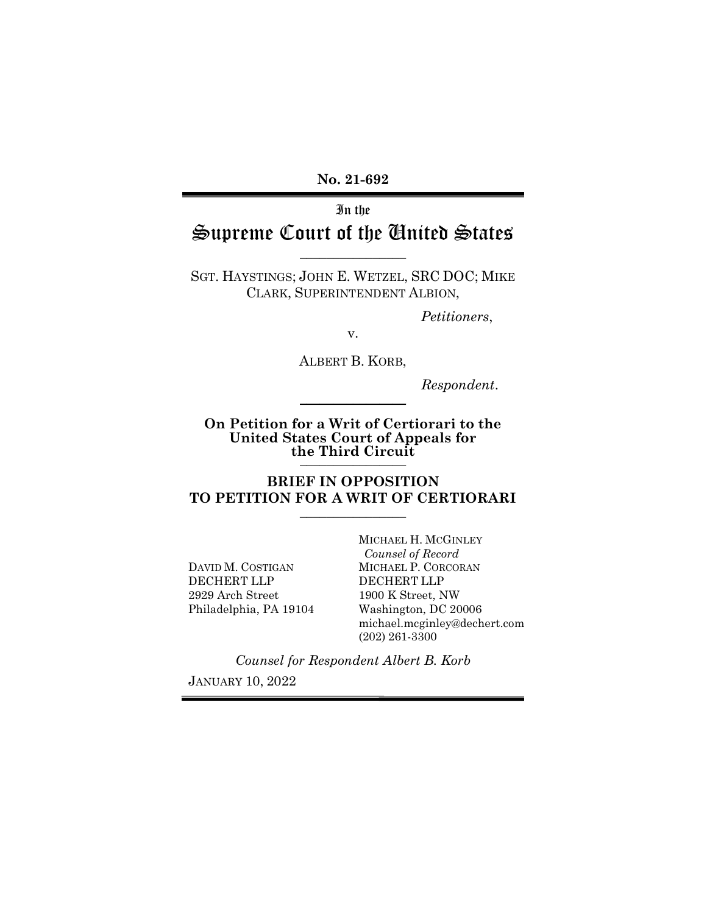No. 21-692

In the

# Supreme Court of the United States  $\overline{\phantom{a}}$  , where  $\overline{\phantom{a}}$

SGT. HAYSTINGS; JOHN E. WETZEL, SRC DOC; MIKE CLARK, SUPERINTENDENT ALBION,

Petitioners,

v.

ALBERT B. KORB,

Respondent.

On Petition for a Writ of Certiorari to the United States Court of Appeals for the Third Circuit

 $\frac{1}{2}$ 

BRIEF IN OPPOSITION TO PETITION FOR A WRIT OF CERTIORARI  $\overline{\phantom{a}}$  , where  $\overline{\phantom{a}}$ 

DAVID M. COSTIGAN DECHERT LLP 2929 Arch Street Philadelphia, PA 19104 MICHAEL H. MCGINLEY Counsel of Record MICHAEL P. CORCORAN DECHERT LLP 1900 K Street, NW Washington, DC 20006 michael.mcginley@dechert.com (202) 261-3300

Counsel for Respondent Albert B. Korb

JANUARY 10, 2022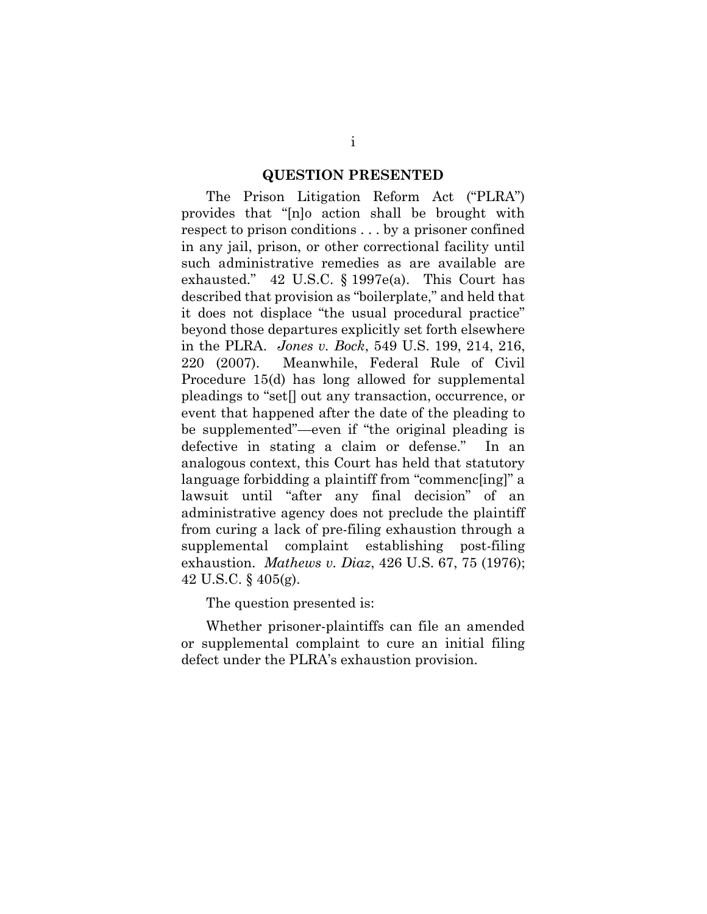#### QUESTION PRESENTED

The Prison Litigation Reform Act ("PLRA") provides that "[n]o action shall be brought with respect to prison conditions . . . by a prisoner confined in any jail, prison, or other correctional facility until such administrative remedies as are available are exhausted." 42 U.S.C. § 1997e(a). This Court has described that provision as "boilerplate," and held that it does not displace "the usual procedural practice" beyond those departures explicitly set forth elsewhere in the PLRA. Jones v. Bock, 549 U.S. 199, 214, 216, 220 (2007). Meanwhile, Federal Rule of Civil Procedure 15(d) has long allowed for supplemental pleadings to "set[] out any transaction, occurrence, or event that happened after the date of the pleading to be supplemented"—even if "the original pleading is defective in stating a claim or defense." In an analogous context, this Court has held that statutory language forbidding a plaintiff from "commenc[ing]" a lawsuit until "after any final decision" of an administrative agency does not preclude the plaintiff from curing a lack of pre-filing exhaustion through a supplemental complaint establishing post-filing exhaustion. *Mathews v. Diaz*,  $426$  U.S.  $67$ ,  $75$  (1976); 42 U.S.C. § 405(g).

The question presented is:

Whether prisoner-plaintiffs can file an amended or supplemental complaint to cure an initial filing defect under the PLRA's exhaustion provision.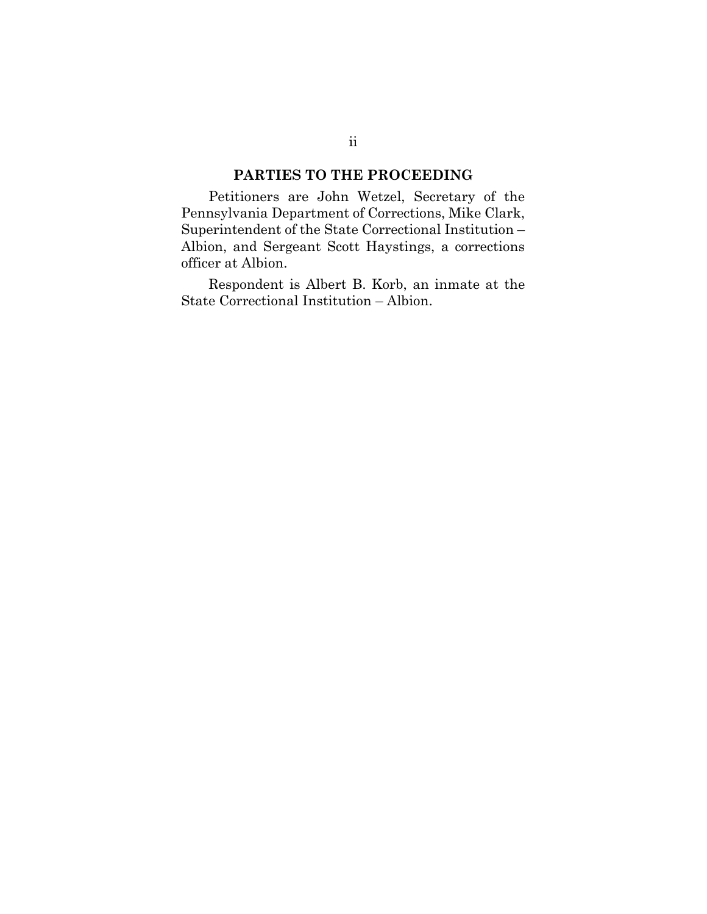## PARTIES TO THE PROCEEDING

Petitioners are John Wetzel, Secretary of the Pennsylvania Department of Corrections, Mike Clark, Superintendent of the State Correctional Institution – Albion, and Sergeant Scott Haystings, a corrections officer at Albion.

Respondent is Albert B. Korb, an inmate at the State Correctional Institution – Albion.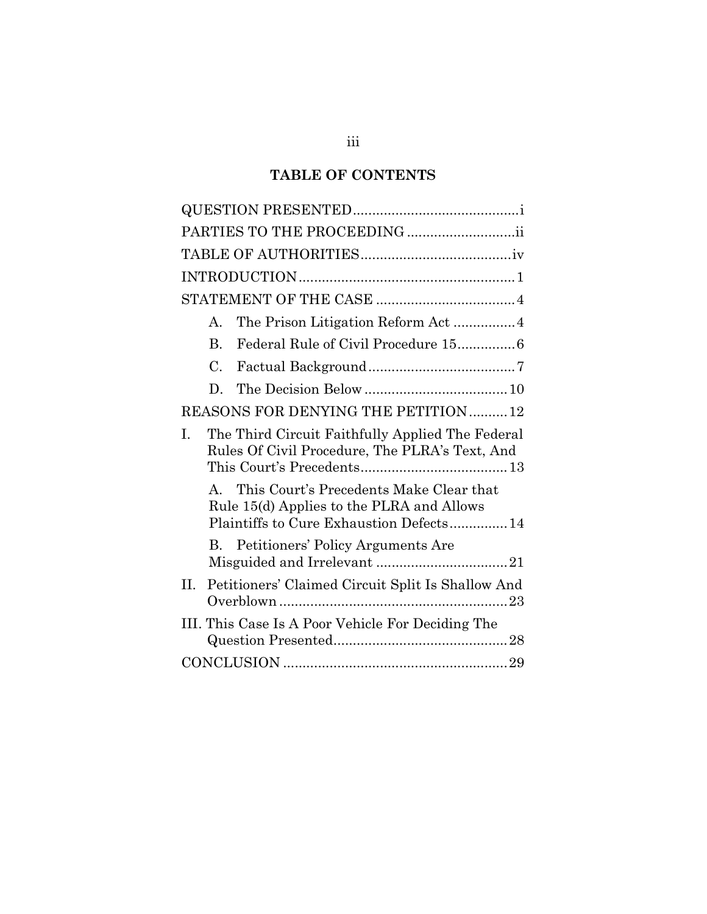## TABLE OF CONTENTS

| PARTIES TO THE PROCEEDING ii                                                                                                        |  |  |
|-------------------------------------------------------------------------------------------------------------------------------------|--|--|
|                                                                                                                                     |  |  |
|                                                                                                                                     |  |  |
|                                                                                                                                     |  |  |
| A.                                                                                                                                  |  |  |
| Federal Rule of Civil Procedure 15 6<br>$\mathbf{B}$ .                                                                              |  |  |
| $\mathcal{C}$ .                                                                                                                     |  |  |
| D.                                                                                                                                  |  |  |
| REASONS FOR DENYING THE PETITION12                                                                                                  |  |  |
| The Third Circuit Faithfully Applied The Federal<br>I.<br>Rules Of Civil Procedure, The PLRA's Text, And                            |  |  |
| A. This Court's Precedents Make Clear that<br>Rule 15(d) Applies to the PLRA and Allows<br>Plaintiffs to Cure Exhaustion Defects 14 |  |  |
| B. Petitioners' Policy Arguments Are                                                                                                |  |  |
| Petitioners' Claimed Circuit Split Is Shallow And<br>Н.                                                                             |  |  |
| III. This Case Is A Poor Vehicle For Deciding The                                                                                   |  |  |
|                                                                                                                                     |  |  |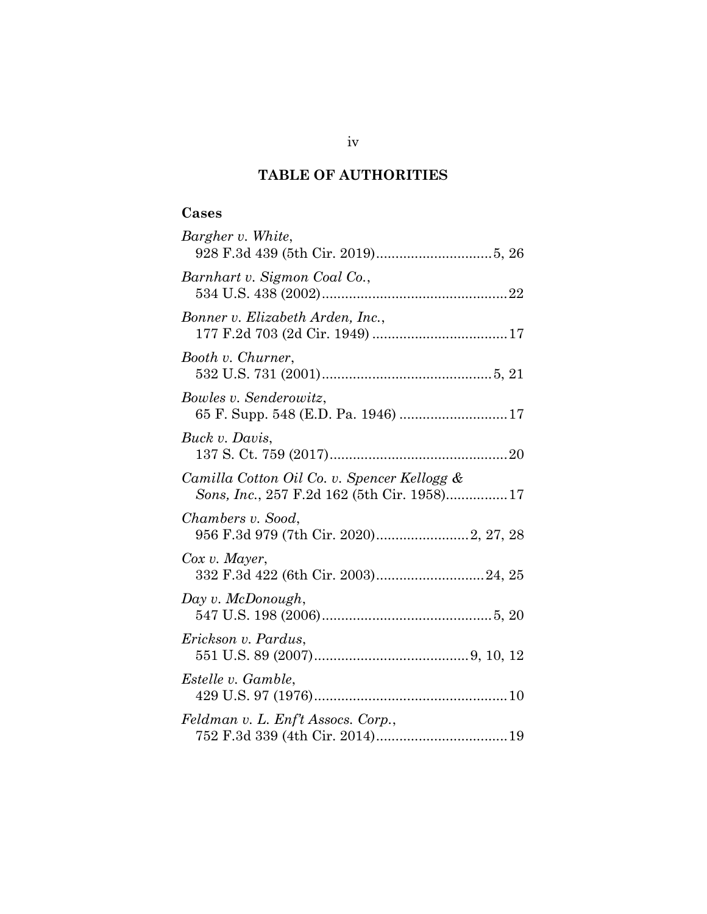## TABLE OF AUTHORITIES

## Cases

| Bargher v. White,                                                                         |
|-------------------------------------------------------------------------------------------|
| Barnhart v. Sigmon Coal Co.,                                                              |
| Bonner v. Elizabeth Arden, Inc.,                                                          |
| Booth v. Churner,                                                                         |
| Bowles v. Senderowitz,                                                                    |
| Buck v. Davis,                                                                            |
| Camilla Cotton Oil Co. v. Spencer Kellogg &<br>Sons, Inc., 257 F.2d 162 (5th Cir. 1958)17 |
| Chambers v. Sood,                                                                         |
| Cox v. Mayer,                                                                             |
| Day v. McDonough,                                                                         |
| Erickson v. Pardus,                                                                       |
| Estelle v. Gamble,                                                                        |
| Feldman v. L. Enf't Assocs. Corp.,                                                        |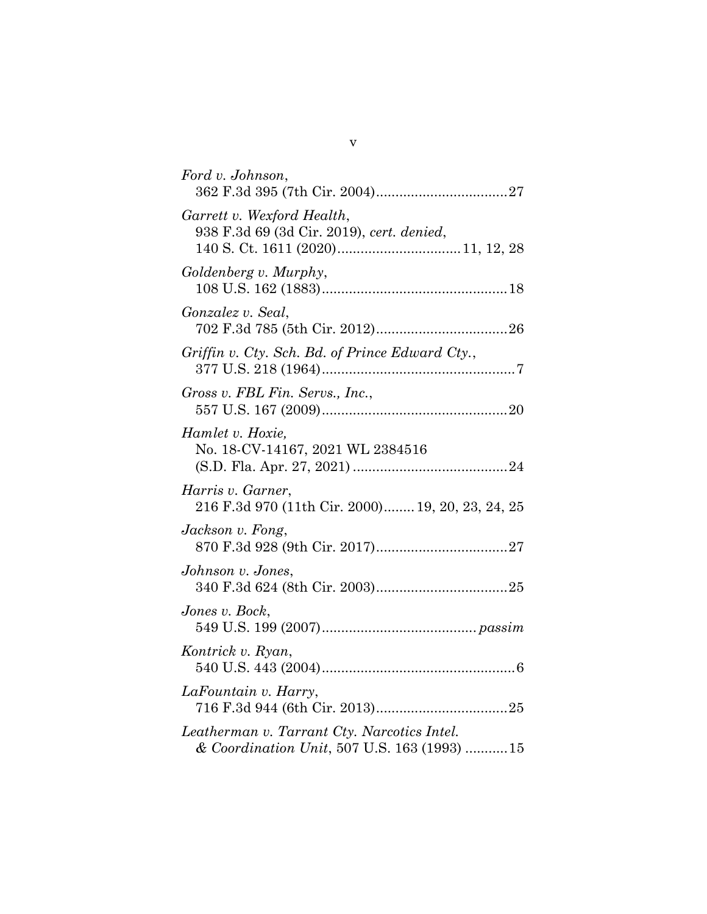| Ford v. Johnson,                                                                           |
|--------------------------------------------------------------------------------------------|
| Garrett v. Wexford Health,<br>938 F.3d 69 (3d Cir. 2019), cert. denied,                    |
| Goldenberg v. Murphy,                                                                      |
| Gonzalez v. Seal,                                                                          |
| Griffin v. Cty. Sch. Bd. of Prince Edward Cty.,                                            |
| Gross v. FBL Fin. Servs., Inc.,                                                            |
| Hamlet v. Hoxie,<br>No. 18-CV-14167, 2021 WL 2384516                                       |
| Harris v. Garner,<br>216 F.3d 970 (11th Cir. 2000) 19, 20, 23, 24, 25                      |
| Jackson v. Fong,                                                                           |
| Johnson v. Jones,                                                                          |
| Jones v. Bock,                                                                             |
| Kontrick v. Ryan,                                                                          |
| LaFountain v. Harry,                                                                       |
| Leatherman v. Tarrant Cty. Narcotics Intel.<br>& Coordination Unit, 507 U.S. 163 (1993) 15 |

v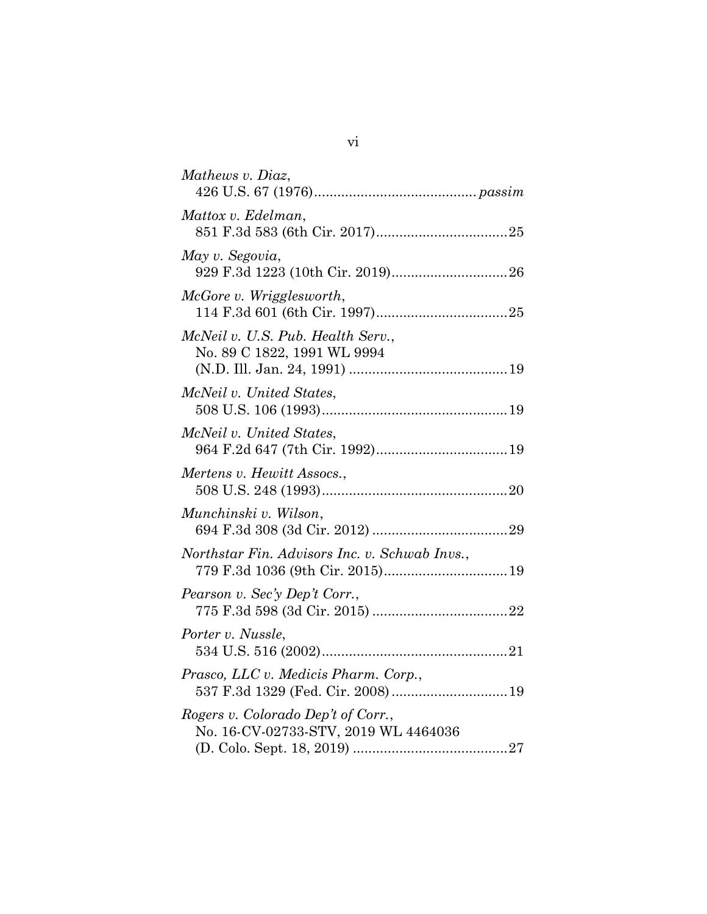| Mathews v. Diaz,                                                           |
|----------------------------------------------------------------------------|
| Mattox v. Edelman,                                                         |
| May v. Segovia,                                                            |
| McGore v. Wrigglesworth,                                                   |
| McNeil v. U.S. Pub. Health Serv.,<br>No. 89 C 1822, 1991 WL 9994           |
| McNeil v. United States,                                                   |
| McNeil v. United States,                                                   |
| Mertens v. Hewitt Assocs.,                                                 |
| Munchinski v. Wilson,                                                      |
| Northstar Fin. Advisors Inc. v. Schwab Invs.,                              |
| Pearson v. Sec'y Dep't Corr.,                                              |
| Porter v. Nussle,                                                          |
| Prasco, LLC v. Medicis Pharm. Corp.,                                       |
| Rogers v. Colorado Dep't of Corr.,<br>No. 16-CV-02733-STV, 2019 WL 4464036 |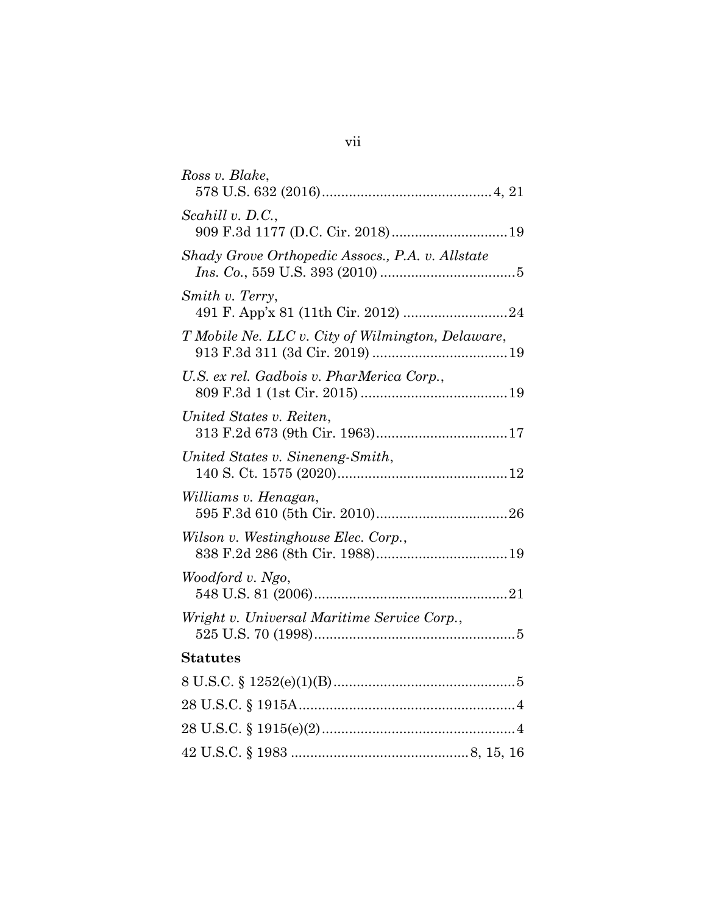| Ross v. Blake,                                    |
|---------------------------------------------------|
| Scahill v. D.C.,                                  |
| Shady Grove Orthopedic Assocs., P.A. v. Allstate  |
| Smith v. Terry,                                   |
| T Mobile Ne. LLC v. City of Wilmington, Delaware, |
| U.S. ex rel. Gadbois v. PharMerica Corp.,         |
| United States v. Reiten,                          |
| United States v. Sineneng-Smith,                  |
| Williams v. Henagan,                              |
| Wilson v. Westinghouse Elec. Corp.,               |
| Woodford v. Ngo,                                  |
| Wright v. Universal Maritime Service Corp.,       |
| <b>Statutes</b>                                   |
|                                                   |
|                                                   |
|                                                   |
|                                                   |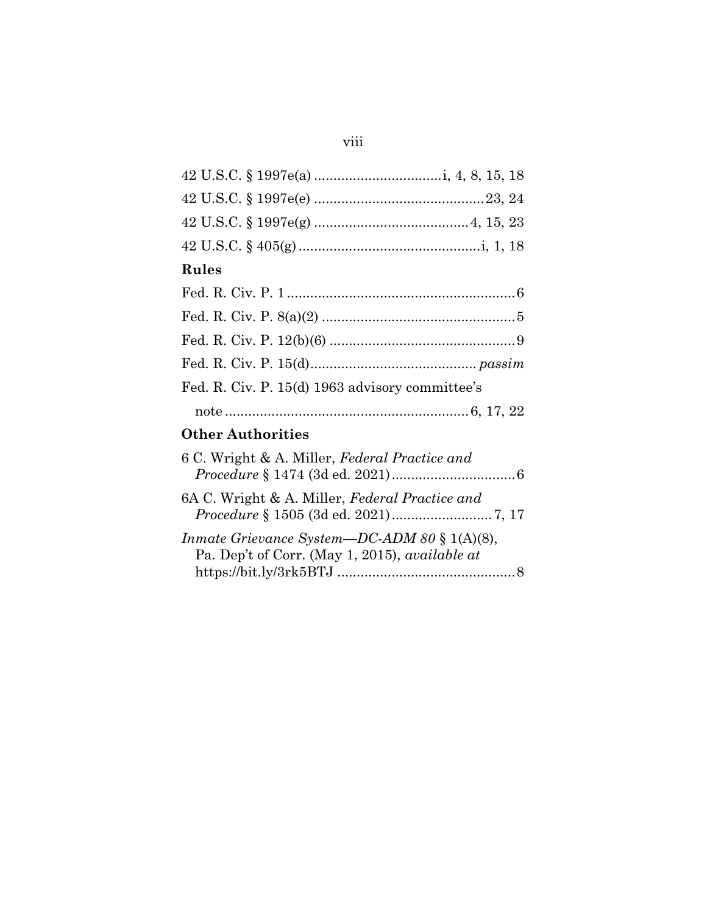# viii

| Rules                                                                                                        |
|--------------------------------------------------------------------------------------------------------------|
|                                                                                                              |
|                                                                                                              |
|                                                                                                              |
|                                                                                                              |
| Fed. R. Civ. P. 15(d) 1963 advisory committee's                                                              |
|                                                                                                              |
| <b>Other Authorities</b>                                                                                     |
| 6 C. Wright & A. Miller, Federal Practice and                                                                |
| 6A C. Wright & A. Miller, Federal Practice and                                                               |
| <i>Inmate Grievance System—DC-ADM 80</i> § 1(A)(8),<br>Pa. Dep't of Corr. (May 1, 2015), <i>available at</i> |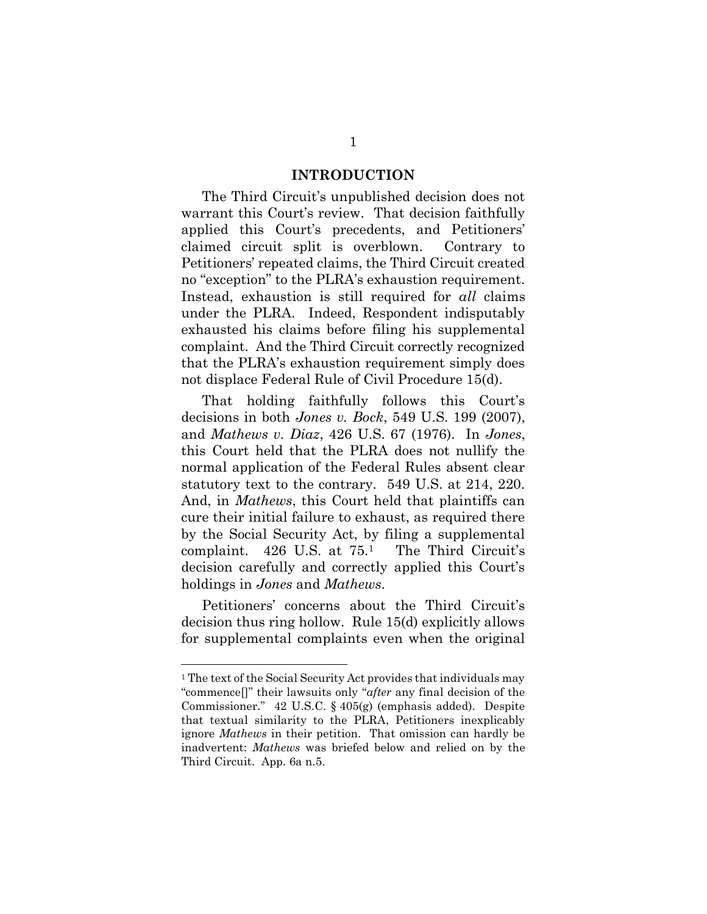#### INTRODUCTION

The Third Circuit's unpublished decision does not warrant this Court's review. That decision faithfully applied this Court's precedents, and Petitioners' claimed circuit split is overblown. Contrary to Petitioners' repeated claims, the Third Circuit created no "exception" to the PLRA's exhaustion requirement. Instead, exhaustion is still required for all claims under the PLRA. Indeed, Respondent indisputably exhausted his claims before filing his supplemental complaint. And the Third Circuit correctly recognized that the PLRA's exhaustion requirement simply does not displace Federal Rule of Civil Procedure 15(d).

That holding faithfully follows this Court's decisions in both Jones v. Bock, 549 U.S. 199 (2007), and Mathews v. Diaz, 426 U.S. 67 (1976). In Jones, this Court held that the PLRA does not nullify the normal application of the Federal Rules absent clear statutory text to the contrary. 549 U.S. at 214, 220. And, in Mathews, this Court held that plaintiffs can cure their initial failure to exhaust, as required there by the Social Security Act, by filing a supplemental complaint. 426 U.S. at 75.1 The Third Circuit's decision carefully and correctly applied this Court's holdings in *Jones* and *Mathews*.

Petitioners' concerns about the Third Circuit's decision thus ring hollow. Rule 15(d) explicitly allows for supplemental complaints even when the original

<sup>&</sup>lt;sup>1</sup> The text of the Social Security Act provides that individuals may "commence[]" their lawsuits only "after any final decision of the Commissioner." 42 U.S.C. § 405(g) (emphasis added). Despite that textual similarity to the PLRA, Petitioners inexplicably ignore Mathews in their petition. That omission can hardly be inadvertent: Mathews was briefed below and relied on by the Third Circuit. App. 6a n.5.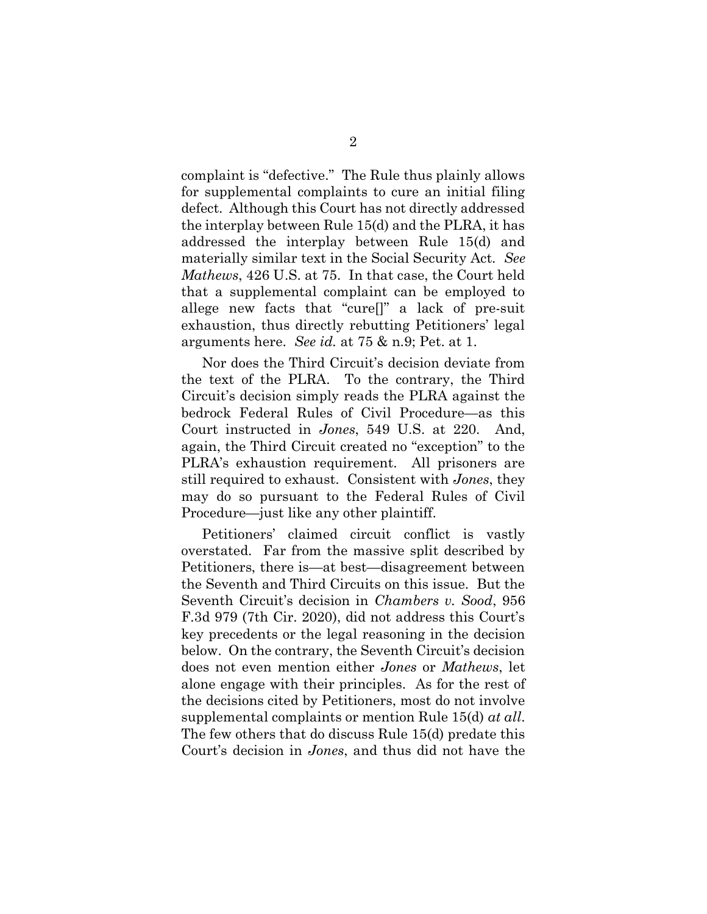complaint is "defective." The Rule thus plainly allows for supplemental complaints to cure an initial filing defect. Although this Court has not directly addressed the interplay between Rule 15(d) and the PLRA, it has addressed the interplay between Rule 15(d) and materially similar text in the Social Security Act. See Mathews, 426 U.S. at 75. In that case, the Court held that a supplemental complaint can be employed to allege new facts that "cure[]" a lack of pre-suit exhaustion, thus directly rebutting Petitioners' legal arguments here. See id. at 75 & n.9; Pet. at 1.

Nor does the Third Circuit's decision deviate from the text of the PLRA. To the contrary, the Third Circuit's decision simply reads the PLRA against the bedrock Federal Rules of Civil Procedure—as this Court instructed in Jones, 549 U.S. at 220. And, again, the Third Circuit created no "exception" to the PLRA's exhaustion requirement. All prisoners are still required to exhaust. Consistent with Jones, they may do so pursuant to the Federal Rules of Civil Procedure—just like any other plaintiff.

Petitioners' claimed circuit conflict is vastly overstated. Far from the massive split described by Petitioners, there is—at best—disagreement between the Seventh and Third Circuits on this issue. But the Seventh Circuit's decision in *Chambers v. Sood*, 956 F.3d 979 (7th Cir. 2020), did not address this Court's key precedents or the legal reasoning in the decision below. On the contrary, the Seventh Circuit's decision does not even mention either Jones or Mathews, let alone engage with their principles. As for the rest of the decisions cited by Petitioners, most do not involve supplemental complaints or mention Rule 15(d) at all. The few others that do discuss Rule 15(d) predate this Court's decision in Jones, and thus did not have the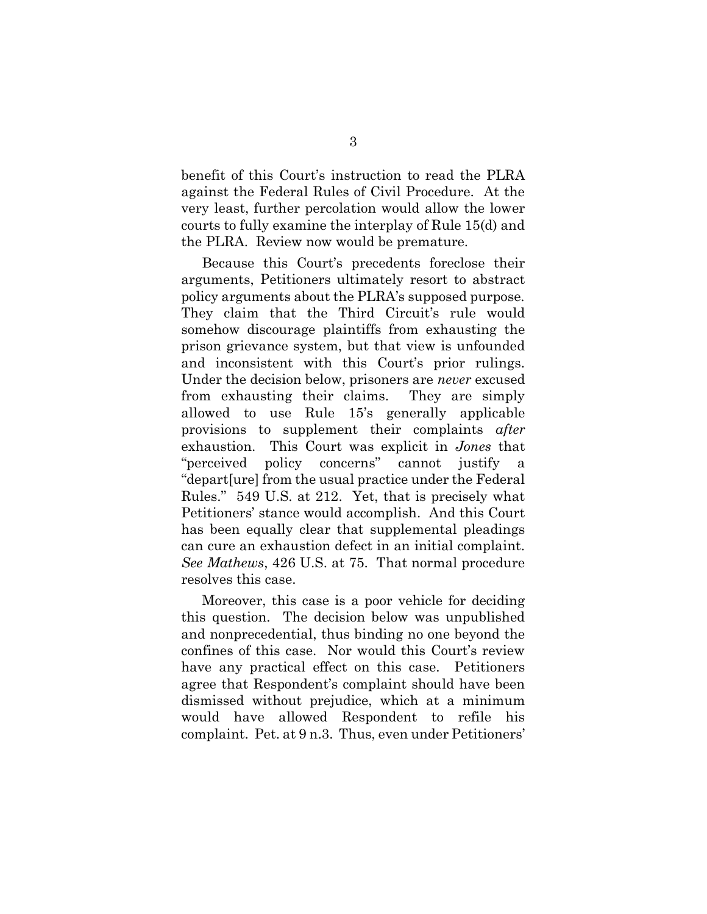benefit of this Court's instruction to read the PLRA against the Federal Rules of Civil Procedure. At the very least, further percolation would allow the lower courts to fully examine the interplay of Rule 15(d) and the PLRA. Review now would be premature.

Because this Court's precedents foreclose their arguments, Petitioners ultimately resort to abstract policy arguments about the PLRA's supposed purpose. They claim that the Third Circuit's rule would somehow discourage plaintiffs from exhausting the prison grievance system, but that view is unfounded and inconsistent with this Court's prior rulings. Under the decision below, prisoners are never excused from exhausting their claims. They are simply allowed to use Rule 15's generally applicable provisions to supplement their complaints after exhaustion. This Court was explicit in Jones that "perceived policy concerns" cannot justify a "depart[ure] from the usual practice under the Federal Rules." 549 U.S. at 212. Yet, that is precisely what Petitioners' stance would accomplish. And this Court has been equally clear that supplemental pleadings can cure an exhaustion defect in an initial complaint. See Mathews, 426 U.S. at 75. That normal procedure resolves this case.

Moreover, this case is a poor vehicle for deciding this question. The decision below was unpublished and nonprecedential, thus binding no one beyond the confines of this case. Nor would this Court's review have any practical effect on this case. Petitioners agree that Respondent's complaint should have been dismissed without prejudice, which at a minimum would have allowed Respondent to refile his complaint. Pet. at 9 n.3. Thus, even under Petitioners'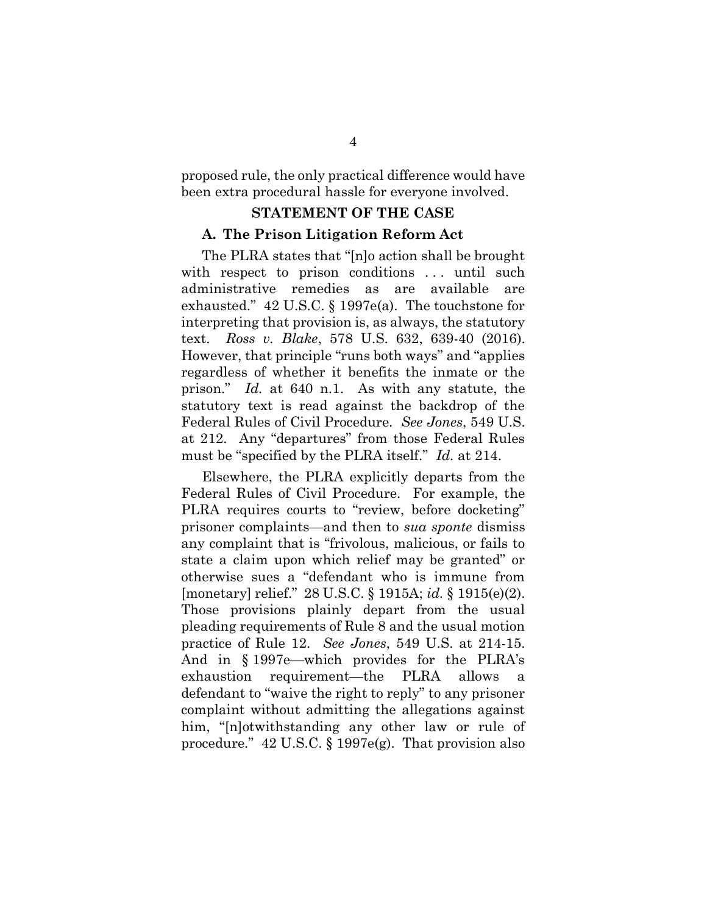proposed rule, the only practical difference would have been extra procedural hassle for everyone involved.

### STATEMENT OF THE CASE

### A. The Prison Litigation Reform Act

The PLRA states that "[n]o action shall be brought with respect to prison conditions ... until such administrative remedies as are available are exhausted." 42 U.S.C. § 1997e(a). The touchstone for interpreting that provision is, as always, the statutory text. Ross v. Blake, 578 U.S. 632, 639-40 (2016). However, that principle "runs both ways" and "applies regardless of whether it benefits the inmate or the prison." Id. at 640 n.1. As with any statute, the statutory text is read against the backdrop of the Federal Rules of Civil Procedure. See Jones, 549 U.S. at 212. Any "departures" from those Federal Rules must be "specified by the PLRA itself." Id. at 214.

Elsewhere, the PLRA explicitly departs from the Federal Rules of Civil Procedure. For example, the PLRA requires courts to "review, before docketing" prisoner complaints—and then to sua sponte dismiss any complaint that is "frivolous, malicious, or fails to state a claim upon which relief may be granted" or otherwise sues a "defendant who is immune from [monetary] relief." 28 U.S.C. § 1915A; id. § 1915(e)(2). Those provisions plainly depart from the usual pleading requirements of Rule 8 and the usual motion practice of Rule 12. See Jones, 549 U.S. at 214-15. And in § 1997e—which provides for the PLRA's exhaustion requirement—the PLRA allows a defendant to "waive the right to reply" to any prisoner complaint without admitting the allegations against him, "[n]otwithstanding any other law or rule of procedure." 42 U.S.C. § 1997e(g). That provision also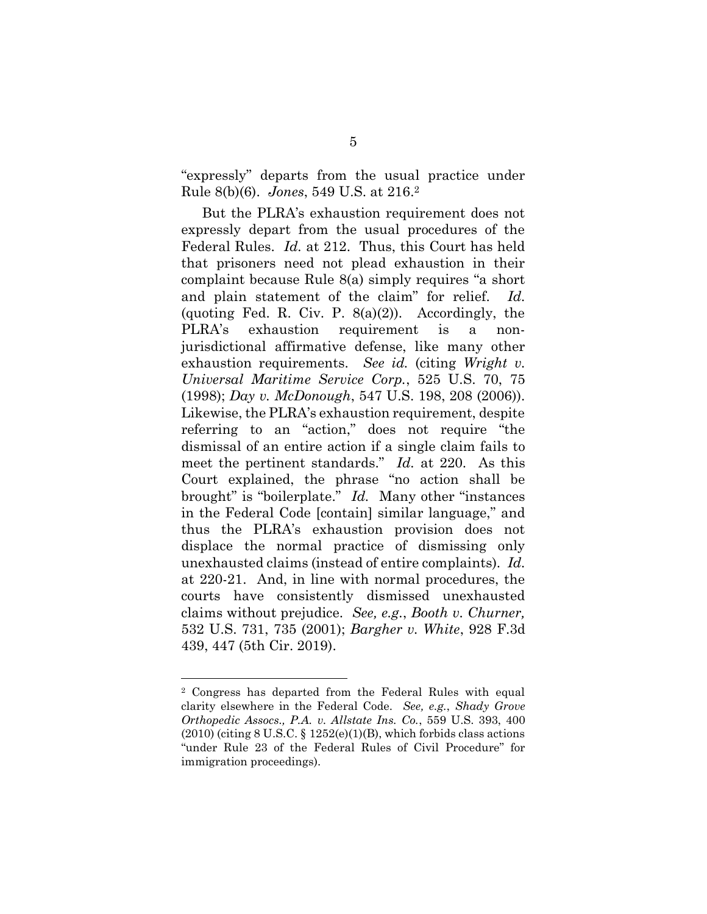"expressly" departs from the usual practice under Rule 8(b)(6). Jones, 549 U.S. at 216.<sup>2</sup>

But the PLRA's exhaustion requirement does not expressly depart from the usual procedures of the Federal Rules. Id. at 212. Thus, this Court has held that prisoners need not plead exhaustion in their complaint because Rule 8(a) simply requires "a short and plain statement of the claim" for relief. Id. (quoting Fed. R. Civ. P.  $8(a)(2)$ ). Accordingly, the PLRA's exhaustion requirement is a nonjurisdictional affirmative defense, like many other exhaustion requirements. See id. (citing Wright  $v$ . Universal Maritime Service Corp., 525 U.S. 70, 75 (1998); Day v. McDonough, 547 U.S. 198, 208 (2006)). Likewise, the PLRA's exhaustion requirement, despite referring to an "action," does not require "the dismissal of an entire action if a single claim fails to meet the pertinent standards." Id. at 220. As this Court explained, the phrase "no action shall be brought" is "boilerplate." Id. Many other "instances" in the Federal Code [contain] similar language," and thus the PLRA's exhaustion provision does not displace the normal practice of dismissing only unexhausted claims (instead of entire complaints). Id. at 220-21. And, in line with normal procedures, the courts have consistently dismissed unexhausted claims without prejudice. See, e.g., Booth v. Churner, 532 U.S. 731, 735 (2001); Bargher v. White, 928 F.3d 439, 447 (5th Cir. 2019).

<sup>2</sup> Congress has departed from the Federal Rules with equal clarity elsewhere in the Federal Code. See, e.g., Shady Grove Orthopedic Assocs., P.A. v. Allstate Ins. Co., 559 U.S. 393, 400  $(2010)$  (citing 8 U.S.C.  $\S 1252(e)(1)(B)$ , which forbids class actions "under Rule 23 of the Federal Rules of Civil Procedure" for immigration proceedings).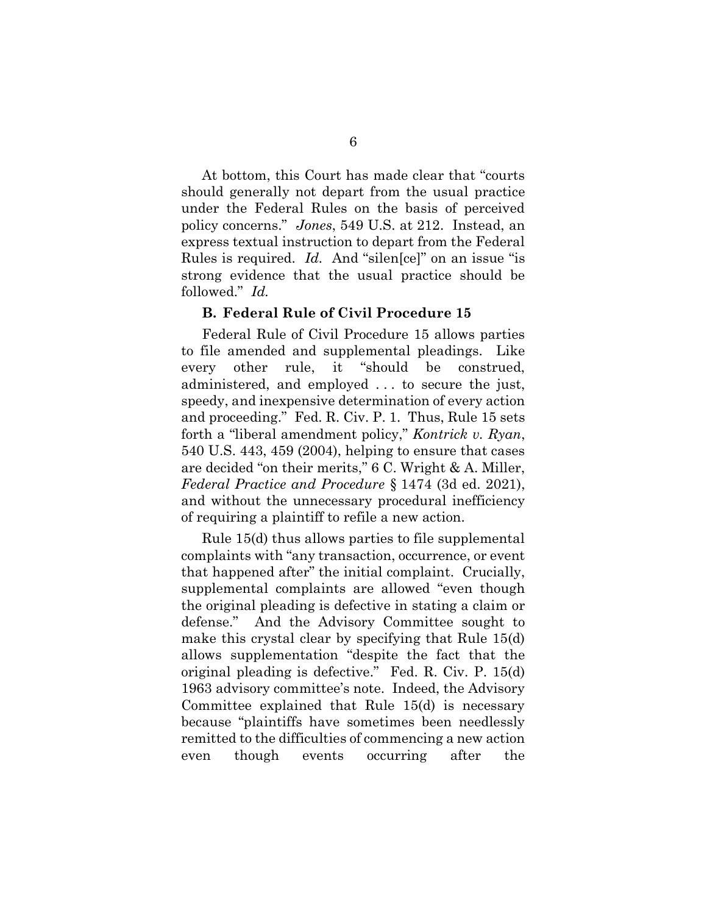At bottom, this Court has made clear that "courts should generally not depart from the usual practice under the Federal Rules on the basis of perceived policy concerns." Jones, 549 U.S. at 212. Instead, an express textual instruction to depart from the Federal Rules is required. Id. And "silen[ce]" on an issue "is strong evidence that the usual practice should be followed." Id.

#### B. Federal Rule of Civil Procedure 15

Federal Rule of Civil Procedure 15 allows parties to file amended and supplemental pleadings. Like every other rule, it "should be construed, administered, and employed . . . to secure the just, speedy, and inexpensive determination of every action and proceeding." Fed. R. Civ. P. 1. Thus, Rule 15 sets forth a "liberal amendment policy," Kontrick v. Ryan, 540 U.S. 443, 459 (2004), helping to ensure that cases are decided "on their merits," 6 C. Wright & A. Miller, Federal Practice and Procedure § 1474 (3d ed. 2021), and without the unnecessary procedural inefficiency of requiring a plaintiff to refile a new action.

Rule 15(d) thus allows parties to file supplemental complaints with "any transaction, occurrence, or event that happened after" the initial complaint. Crucially, supplemental complaints are allowed "even though the original pleading is defective in stating a claim or defense." And the Advisory Committee sought to make this crystal clear by specifying that Rule 15(d) allows supplementation "despite the fact that the original pleading is defective." Fed. R. Civ. P. 15(d) 1963 advisory committee's note. Indeed, the Advisory Committee explained that Rule 15(d) is necessary because "plaintiffs have sometimes been needlessly remitted to the difficulties of commencing a new action even though events occurring after the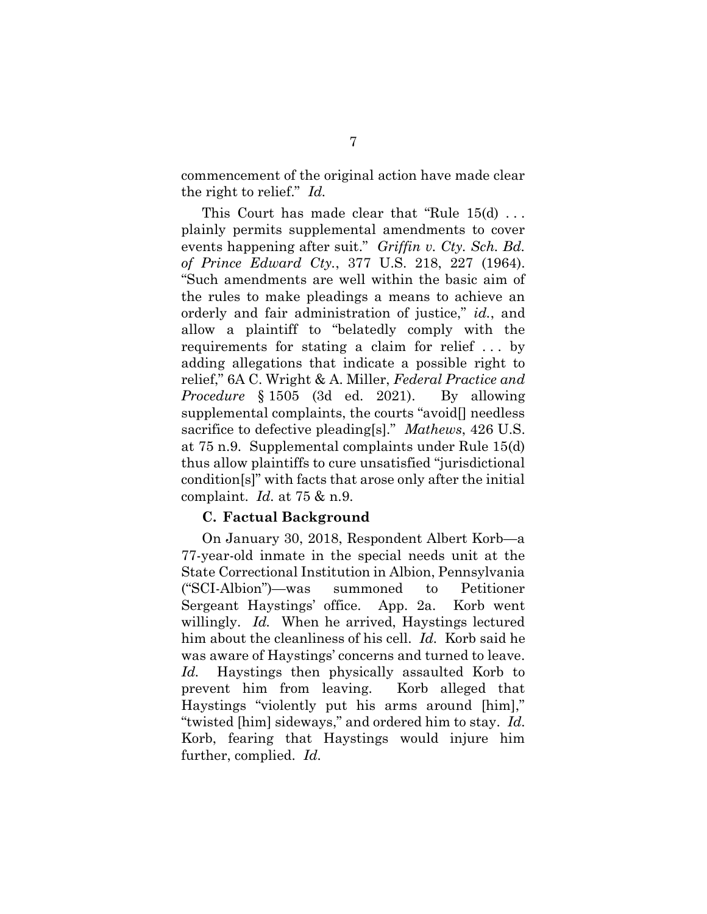commencement of the original action have made clear the right to relief." Id.

This Court has made clear that "Rule 15(d) . . . plainly permits supplemental amendments to cover events happening after suit." Griffin v. Cty. Sch. Bd. of Prince Edward Cty., 377 U.S. 218, 227 (1964). "Such amendments are well within the basic aim of the rules to make pleadings a means to achieve an orderly and fair administration of justice," id., and allow a plaintiff to "belatedly comply with the requirements for stating a claim for relief . . . by adding allegations that indicate a possible right to relief," 6A C. Wright & A. Miller, Federal Practice and Procedure § 1505 (3d ed. 2021). By allowing supplemental complaints, the courts "avoid[] needless sacrifice to defective pleading[s]." *Mathews*, 426 U.S. at 75 n.9. Supplemental complaints under Rule 15(d) thus allow plaintiffs to cure unsatisfied "jurisdictional condition[s]" with facts that arose only after the initial complaint. Id. at  $75 \& n.9$ .

#### C. Factual Background

On January 30, 2018, Respondent Albert Korb—a 77-year-old inmate in the special needs unit at the State Correctional Institution in Albion, Pennsylvania ("SCI-Albion")—was summoned to Petitioner Sergeant Haystings' office. App. 2a. Korb went willingly. Id. When he arrived, Haystings lectured him about the cleanliness of his cell. Id. Korb said he was aware of Haystings' concerns and turned to leave. Id. Haystings then physically assaulted Korb to prevent him from leaving. Korb alleged that Haystings "violently put his arms around [him]," "twisted [him] sideways," and ordered him to stay. Id. Korb, fearing that Haystings would injure him further, complied. Id.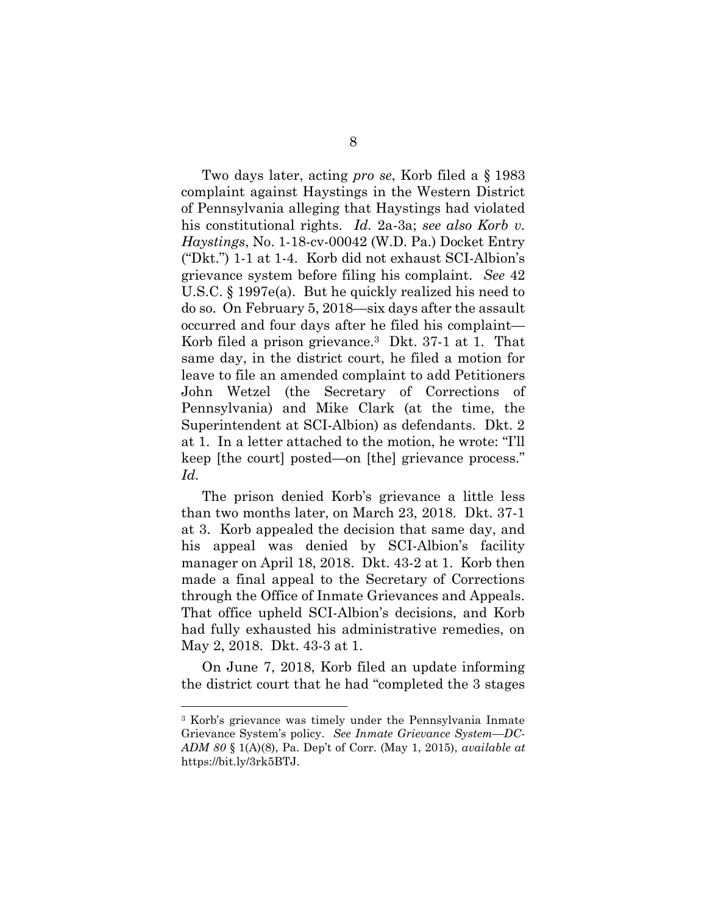Two days later, acting pro se, Korb filed a § 1983 complaint against Haystings in the Western District of Pennsylvania alleging that Haystings had violated his constitutional rights. Id. 2a-3a; see also Korb v. Haystings, No. 1-18-cv-00042 (W.D. Pa.) Docket Entry ("Dkt.") 1-1 at 1-4. Korb did not exhaust SCI-Albion's grievance system before filing his complaint. See 42 U.S.C. § 1997e(a). But he quickly realized his need to do so. On February 5, 2018—six days after the assault occurred and four days after he filed his complaint— Korb filed a prison grievance.3 Dkt. 37-1 at 1. That same day, in the district court, he filed a motion for leave to file an amended complaint to add Petitioners John Wetzel (the Secretary of Corrections of Pennsylvania) and Mike Clark (at the time, the Superintendent at SCI-Albion) as defendants. Dkt. 2 at 1. In a letter attached to the motion, he wrote: "I'll keep [the court] posted—on [the] grievance process." Id.

The prison denied Korb's grievance a little less than two months later, on March 23, 2018. Dkt. 37-1 at 3. Korb appealed the decision that same day, and his appeal was denied by SCI-Albion's facility manager on April 18, 2018. Dkt. 43-2 at 1. Korb then made a final appeal to the Secretary of Corrections through the Office of Inmate Grievances and Appeals. That office upheld SCI-Albion's decisions, and Korb had fully exhausted his administrative remedies, on May 2, 2018. Dkt. 43-3 at 1.

On June 7, 2018, Korb filed an update informing the district court that he had "completed the 3 stages

<sup>3</sup> Korb's grievance was timely under the Pennsylvania Inmate Grievance System's policy. See Inmate Grievance System—DC-ADM 80  $\S$  1(A)(8), Pa. Dep't of Corr. (May 1, 2015), available at https://bit.ly/3rk5BTJ.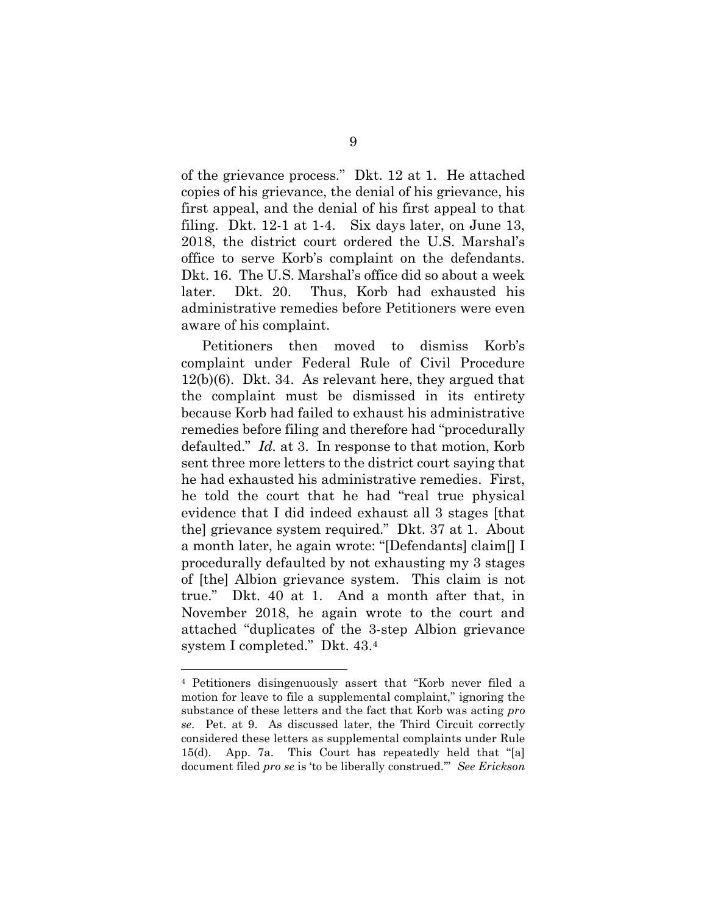of the grievance process." Dkt. 12 at 1. He attached copies of his grievance, the denial of his grievance, his first appeal, and the denial of his first appeal to that filing. Dkt. 12-1 at 1-4. Six days later, on June 13, 2018, the district court ordered the U.S. Marshal's office to serve Korb's complaint on the defendants. Dkt. 16. The U.S. Marshal's office did so about a week later. Dkt. 20. Thus, Korb had exhausted his administrative remedies before Petitioners were even aware of his complaint.

Petitioners then moved to dismiss Korb's complaint under Federal Rule of Civil Procedure 12(b)(6). Dkt. 34. As relevant here, they argued that the complaint must be dismissed in its entirety because Korb had failed to exhaust his administrative remedies before filing and therefore had "procedurally defaulted." *Id.* at 3. In response to that motion, Korb sent three more letters to the district court saying that he had exhausted his administrative remedies. First, he told the court that he had "real true physical evidence that I did indeed exhaust all 3 stages [that the] grievance system required." Dkt. 37 at 1. About a month later, he again wrote: "[Defendants] claim[] I procedurally defaulted by not exhausting my 3 stages of [the] Albion grievance system. This claim is not true." Dkt. 40 at 1. And a month after that, in November 2018, he again wrote to the court and attached "duplicates of the 3-step Albion grievance system I completed." Dkt. 43.<sup>4</sup>

<sup>4</sup> Petitioners disingenuously assert that "Korb never filed a motion for leave to file a supplemental complaint," ignoring the substance of these letters and the fact that Korb was acting pro se. Pet. at 9. As discussed later, the Third Circuit correctly considered these letters as supplemental complaints under Rule 15(d). App. 7a. This Court has repeatedly held that "[a] document filed pro se is 'to be liberally construed." See Erickson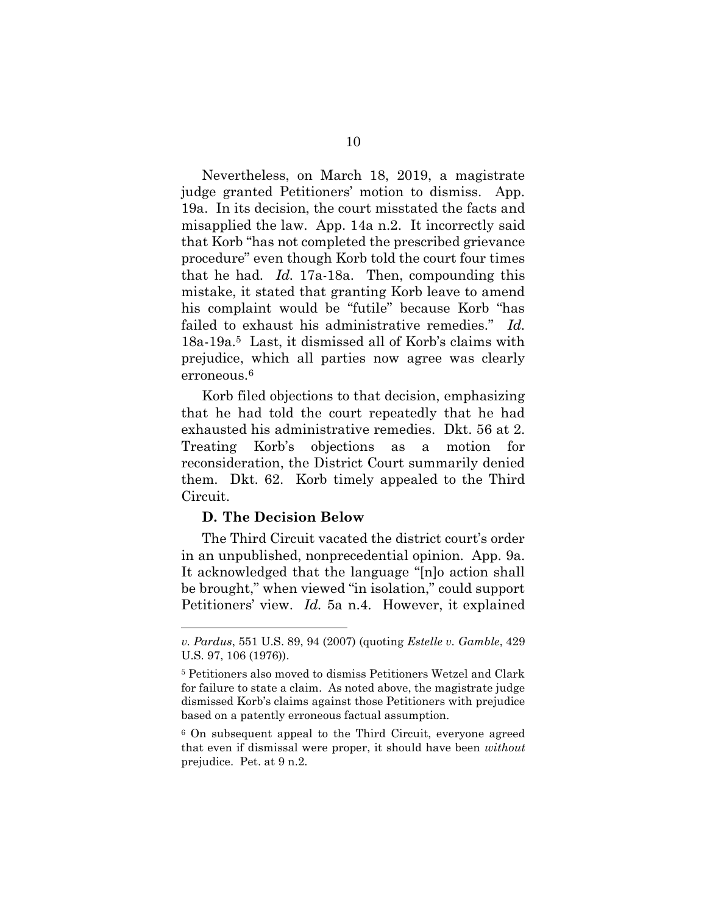Nevertheless, on March 18, 2019, a magistrate judge granted Petitioners' motion to dismiss. App. 19a. In its decision, the court misstated the facts and misapplied the law. App. 14a n.2. It incorrectly said that Korb "has not completed the prescribed grievance procedure" even though Korb told the court four times that he had.  $Id. 17a-18a$ . Then, compounding this mistake, it stated that granting Korb leave to amend his complaint would be "futile" because Korb "has failed to exhaust his administrative remedies." Id. 18a-19a.5 Last, it dismissed all of Korb's claims with prejudice, which all parties now agree was clearly erroneous.<sup>6</sup>

Korb filed objections to that decision, emphasizing that he had told the court repeatedly that he had exhausted his administrative remedies. Dkt. 56 at 2. Treating Korb's objections as a motion for reconsideration, the District Court summarily denied them. Dkt. 62. Korb timely appealed to the Third Circuit.

#### D. The Decision Below

 The Third Circuit vacated the district court's order in an unpublished, nonprecedential opinion. App. 9a. It acknowledged that the language "[n]o action shall be brought," when viewed "in isolation," could support Petitioners' view. Id. 5a n.4. However, it explained

v. Pardus, 551 U.S. 89, 94 (2007) (quoting Estelle v. Gamble, 429 U.S. 97, 106 (1976)).

<sup>5</sup> Petitioners also moved to dismiss Petitioners Wetzel and Clark for failure to state a claim. As noted above, the magistrate judge dismissed Korb's claims against those Petitioners with prejudice based on a patently erroneous factual assumption.

<sup>6</sup> On subsequent appeal to the Third Circuit, everyone agreed that even if dismissal were proper, it should have been without prejudice. Pet. at 9 n.2.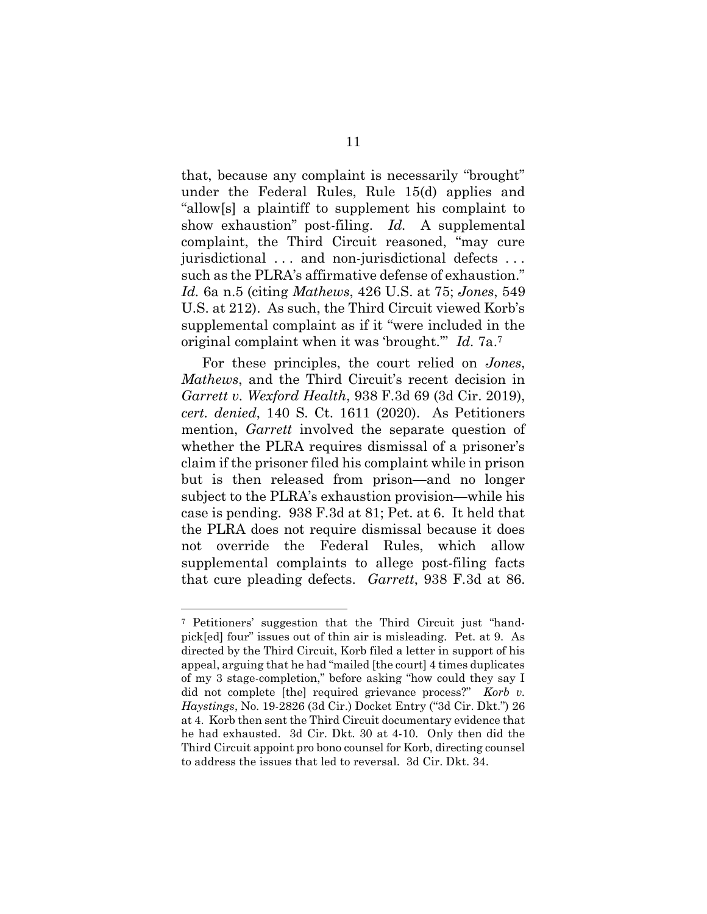that, because any complaint is necessarily "brought" under the Federal Rules, Rule 15(d) applies and "allow[s] a plaintiff to supplement his complaint to show exhaustion" post-filing. Id. A supplemental complaint, the Third Circuit reasoned, "may cure jurisdictional . . . and non-jurisdictional defects . . . such as the PLRA's affirmative defense of exhaustion." Id. 6a n.5 (citing Mathews, 426 U.S. at 75; Jones, 549 U.S. at 212). As such, the Third Circuit viewed Korb's supplemental complaint as if it "were included in the original complaint when it was 'brought." Id. 7a.<sup>7</sup>

 For these principles, the court relied on Jones, Mathews, and the Third Circuit's recent decision in Garrett v. Wexford Health, 938 F.3d 69 (3d Cir. 2019), cert. denied, 140 S. Ct. 1611 (2020). As Petitioners mention, *Garrett* involved the separate question of whether the PLRA requires dismissal of a prisoner's claim if the prisoner filed his complaint while in prison but is then released from prison—and no longer subject to the PLRA's exhaustion provision—while his case is pending. 938 F.3d at 81; Pet. at 6. It held that the PLRA does not require dismissal because it does not override the Federal Rules, which allow supplemental complaints to allege post-filing facts that cure pleading defects. Garrett, 938 F.3d at 86.

<sup>7</sup> Petitioners' suggestion that the Third Circuit just "handpick[ed] four" issues out of thin air is misleading. Pet. at 9. As directed by the Third Circuit, Korb filed a letter in support of his appeal, arguing that he had "mailed [the court] 4 times duplicates of my 3 stage-completion," before asking "how could they say I did not complete [the] required grievance process?" Korb v. Haystings, No. 19-2826 (3d Cir.) Docket Entry ("3d Cir. Dkt.") 26 at 4. Korb then sent the Third Circuit documentary evidence that he had exhausted. 3d Cir. Dkt. 30 at 4-10. Only then did the Third Circuit appoint pro bono counsel for Korb, directing counsel to address the issues that led to reversal. 3d Cir. Dkt. 34.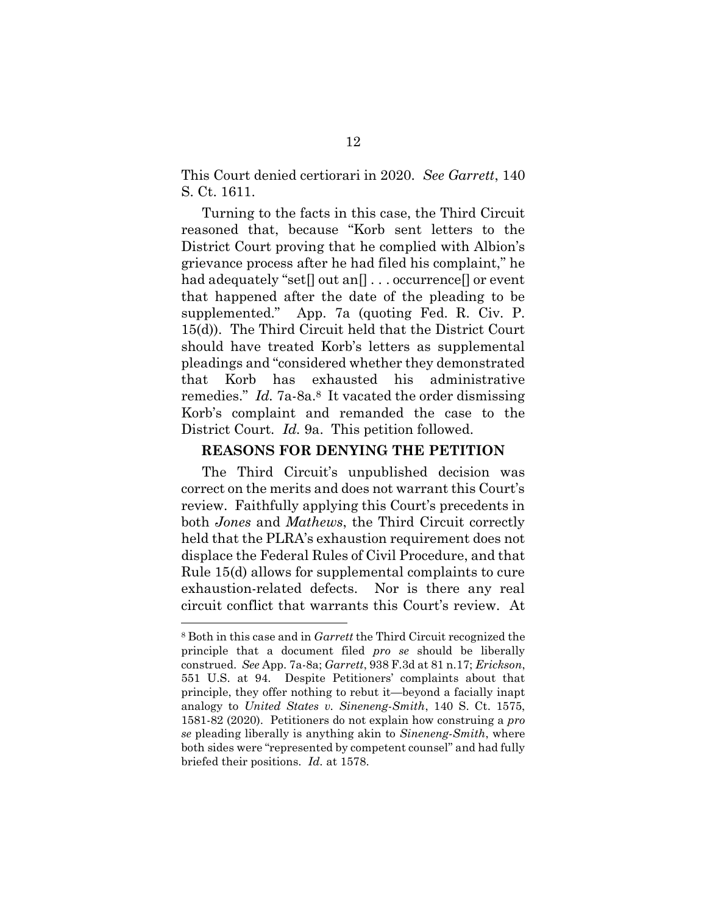This Court denied certiorari in 2020. See Garrett, 140 S. Ct. 1611.

 Turning to the facts in this case, the Third Circuit reasoned that, because "Korb sent letters to the District Court proving that he complied with Albion's grievance process after he had filed his complaint," he had adequately "set[] out an[] . . . occurrence[] or event that happened after the date of the pleading to be supplemented." App. 7a (quoting Fed. R. Civ. P. 15(d)). The Third Circuit held that the District Court should have treated Korb's letters as supplemental pleadings and "considered whether they demonstrated that Korb has exhausted his administrative remedies." Id. 7a-8a.<sup>8</sup> It vacated the order dismissing Korb's complaint and remanded the case to the District Court. Id. 9a. This petition followed.

#### REASONS FOR DENYING THE PETITION

 The Third Circuit's unpublished decision was correct on the merits and does not warrant this Court's review. Faithfully applying this Court's precedents in both *Jones* and *Mathews*, the Third Circuit correctly held that the PLRA's exhaustion requirement does not displace the Federal Rules of Civil Procedure, and that Rule 15(d) allows for supplemental complaints to cure exhaustion-related defects. Nor is there any real circuit conflict that warrants this Court's review. At

<sup>8</sup> Both in this case and in Garrett the Third Circuit recognized the principle that a document filed pro se should be liberally construed. See App. 7a-8a; Garrett, 938 F.3d at 81 n.17; Erickson, 551 U.S. at 94. Despite Petitioners' complaints about that principle, they offer nothing to rebut it—beyond a facially inapt analogy to United States v. Sineneng-Smith, 140 S. Ct. 1575, 1581-82 (2020). Petitioners do not explain how construing a pro se pleading liberally is anything akin to *Sineneng-Smith*, where both sides were "represented by competent counsel" and had fully briefed their positions. Id. at 1578.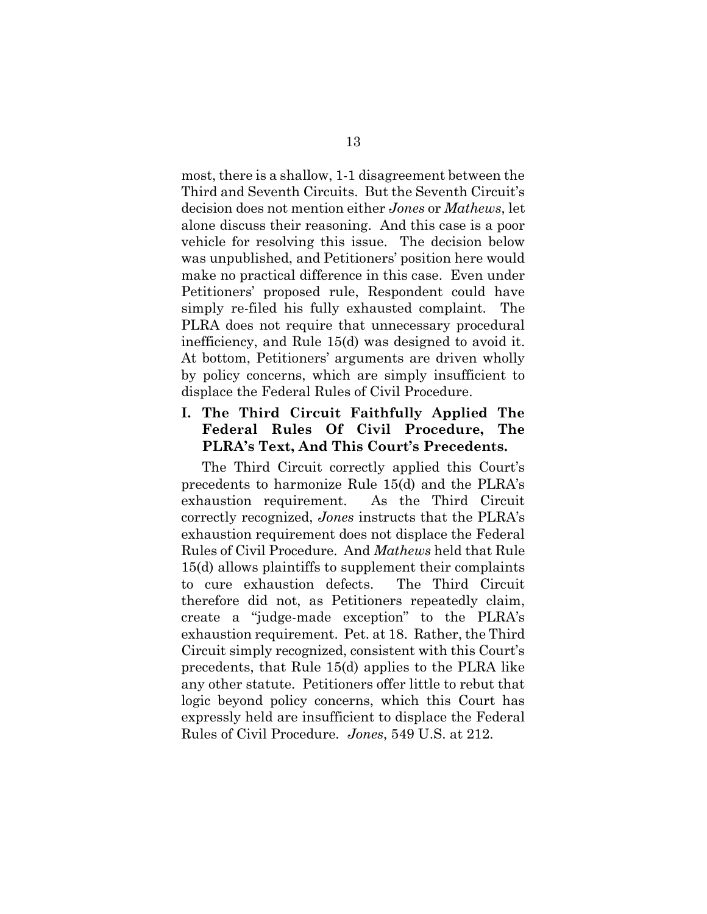most, there is a shallow, 1-1 disagreement between the Third and Seventh Circuits. But the Seventh Circuit's decision does not mention either Jones or Mathews, let alone discuss their reasoning. And this case is a poor vehicle for resolving this issue. The decision below was unpublished, and Petitioners' position here would make no practical difference in this case. Even under Petitioners' proposed rule, Respondent could have simply re-filed his fully exhausted complaint. The PLRA does not require that unnecessary procedural inefficiency, and Rule 15(d) was designed to avoid it. At bottom, Petitioners' arguments are driven wholly by policy concerns, which are simply insufficient to displace the Federal Rules of Civil Procedure.

## I. The Third Circuit Faithfully Applied The Federal Rules Of Civil Procedure, The PLRA's Text, And This Court's Precedents.

 The Third Circuit correctly applied this Court's precedents to harmonize Rule 15(d) and the PLRA's exhaustion requirement. As the Third Circuit correctly recognized, Jones instructs that the PLRA's exhaustion requirement does not displace the Federal Rules of Civil Procedure. And Mathews held that Rule 15(d) allows plaintiffs to supplement their complaints to cure exhaustion defects. The Third Circuit therefore did not, as Petitioners repeatedly claim, create a "judge-made exception" to the PLRA's exhaustion requirement. Pet. at 18. Rather, the Third Circuit simply recognized, consistent with this Court's precedents, that Rule 15(d) applies to the PLRA like any other statute. Petitioners offer little to rebut that logic beyond policy concerns, which this Court has expressly held are insufficient to displace the Federal Rules of Civil Procedure. Jones, 549 U.S. at 212.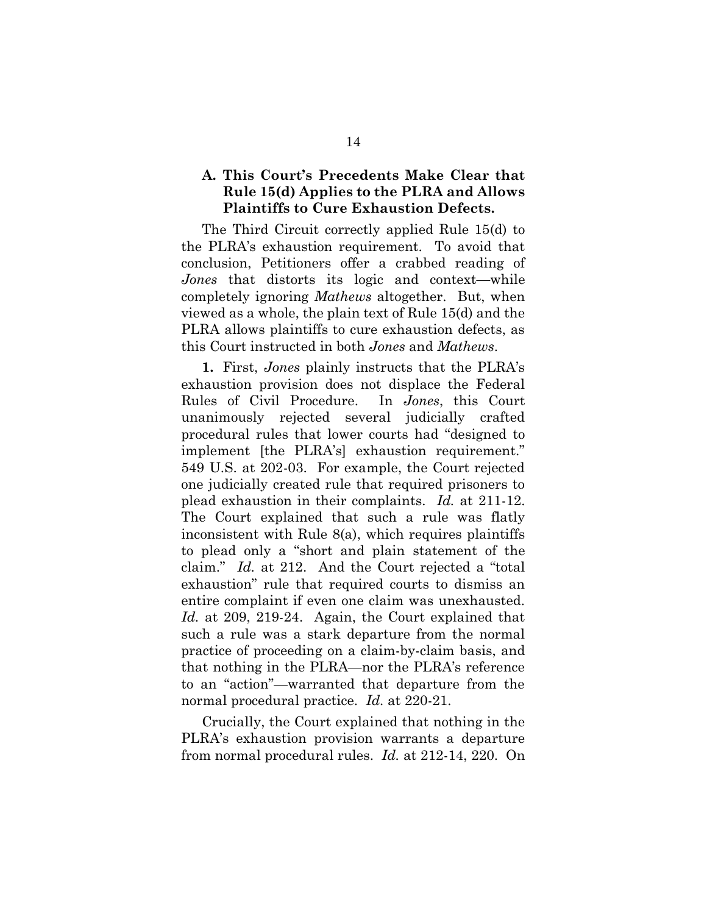## A. This Court's Precedents Make Clear that Rule 15(d) Applies to the PLRA and Allows Plaintiffs to Cure Exhaustion Defects.

 The Third Circuit correctly applied Rule 15(d) to the PLRA's exhaustion requirement. To avoid that conclusion, Petitioners offer a crabbed reading of Jones that distorts its logic and context—while completely ignoring Mathews altogether. But, when viewed as a whole, the plain text of Rule 15(d) and the PLRA allows plaintiffs to cure exhaustion defects, as this Court instructed in both Jones and Mathews.

1. First, Jones plainly instructs that the PLRA's exhaustion provision does not displace the Federal Rules of Civil Procedure. In Jones, this Court unanimously rejected several judicially crafted procedural rules that lower courts had "designed to implement [the PLRA's] exhaustion requirement." 549 U.S. at 202-03. For example, the Court rejected one judicially created rule that required prisoners to plead exhaustion in their complaints. Id. at 211-12. The Court explained that such a rule was flatly inconsistent with Rule 8(a), which requires plaintiffs to plead only a "short and plain statement of the claim." Id. at 212. And the Court rejected a "total exhaustion" rule that required courts to dismiss an entire complaint if even one claim was unexhausted. Id. at 209, 219-24. Again, the Court explained that such a rule was a stark departure from the normal practice of proceeding on a claim-by-claim basis, and that nothing in the PLRA—nor the PLRA's reference to an "action"—warranted that departure from the normal procedural practice. *Id.* at 220-21.

Crucially, the Court explained that nothing in the PLRA's exhaustion provision warrants a departure from normal procedural rules. Id. at 212-14, 220. On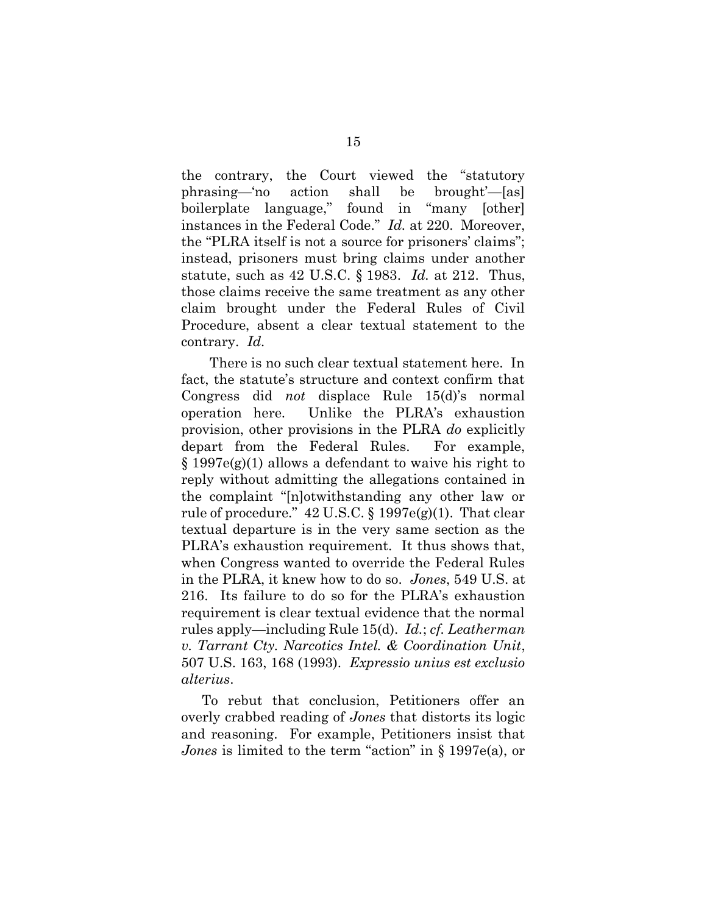the contrary, the Court viewed the "statutory phrasing—'no action shall be brought'—[as] boilerplate language," found in "many [other] instances in the Federal Code." Id. at 220. Moreover, the "PLRA itself is not a source for prisoners' claims"; instead, prisoners must bring claims under another statute, such as  $42 \text{ U.S.C. } \S 1983$ . *Id.* at  $212$ . Thus, those claims receive the same treatment as any other claim brought under the Federal Rules of Civil Procedure, absent a clear textual statement to the contrary. Id.

 There is no such clear textual statement here. In fact, the statute's structure and context confirm that Congress did not displace Rule 15(d)'s normal operation here. Unlike the PLRA's exhaustion provision, other provisions in the PLRA do explicitly depart from the Federal Rules. For example, § 1997e(g)(1) allows a defendant to waive his right to reply without admitting the allegations contained in the complaint "[n]otwithstanding any other law or rule of procedure."  $42 \text{ U.S.C.}$  §  $1997 \text{ e(g)}(1)$ . That clear textual departure is in the very same section as the PLRA's exhaustion requirement. It thus shows that, when Congress wanted to override the Federal Rules in the PLRA, it knew how to do so. Jones, 549 U.S. at 216. Its failure to do so for the PLRA's exhaustion requirement is clear textual evidence that the normal rules apply—including Rule 15(d). Id.; cf. Leatherman v. Tarrant Cty. Narcotics Intel. & Coordination Unit, 507 U.S. 163, 168 (1993). Expressio unius est exclusio alterius.

To rebut that conclusion, Petitioners offer an overly crabbed reading of Jones that distorts its logic and reasoning. For example, Petitioners insist that Jones is limited to the term "action" in § 1997e(a), or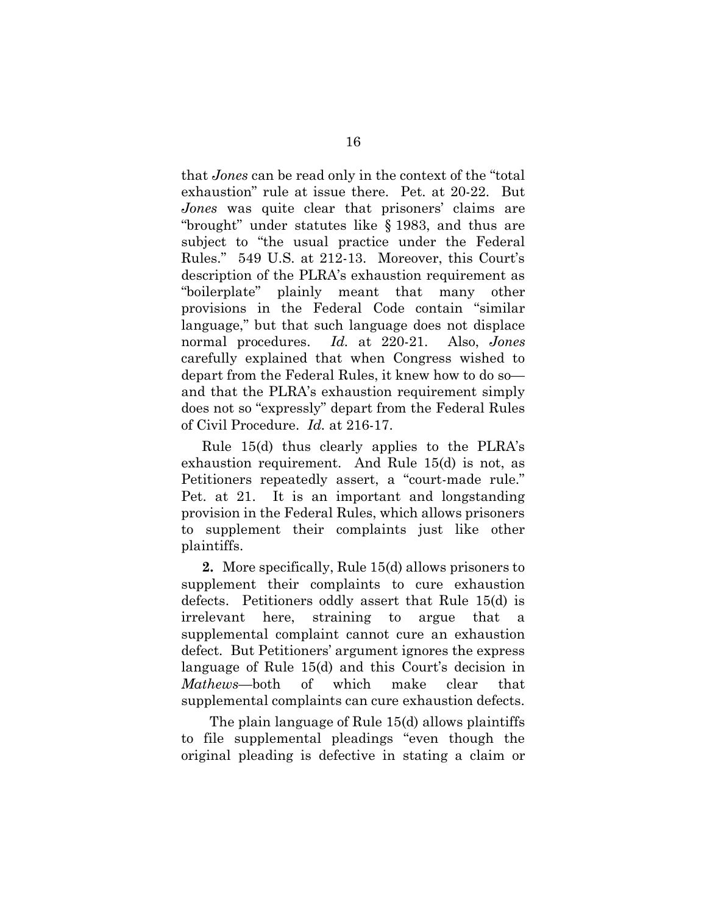that Jones can be read only in the context of the "total exhaustion" rule at issue there. Pet. at 20-22. But Jones was quite clear that prisoners' claims are "brought" under statutes like § 1983, and thus are subject to "the usual practice under the Federal Rules." 549 U.S. at 212-13. Moreover, this Court's description of the PLRA's exhaustion requirement as "boilerplate" plainly meant that many other provisions in the Federal Code contain "similar language," but that such language does not displace normal procedures. Id. at 220-21. Also, Jones carefully explained that when Congress wished to depart from the Federal Rules, it knew how to do so and that the PLRA's exhaustion requirement simply does not so "expressly" depart from the Federal Rules of Civil Procedure. Id. at 216-17.

Rule 15(d) thus clearly applies to the PLRA's exhaustion requirement. And Rule 15(d) is not, as Petitioners repeatedly assert, a "court-made rule." Pet. at 21. It is an important and longstanding provision in the Federal Rules, which allows prisoners to supplement their complaints just like other plaintiffs.

2. More specifically, Rule 15(d) allows prisoners to supplement their complaints to cure exhaustion defects. Petitioners oddly assert that Rule 15(d) is irrelevant here, straining to argue that a supplemental complaint cannot cure an exhaustion defect. But Petitioners' argument ignores the express language of Rule 15(d) and this Court's decision in Mathews—both of which make clear that supplemental complaints can cure exhaustion defects.

 The plain language of Rule 15(d) allows plaintiffs to file supplemental pleadings "even though the original pleading is defective in stating a claim or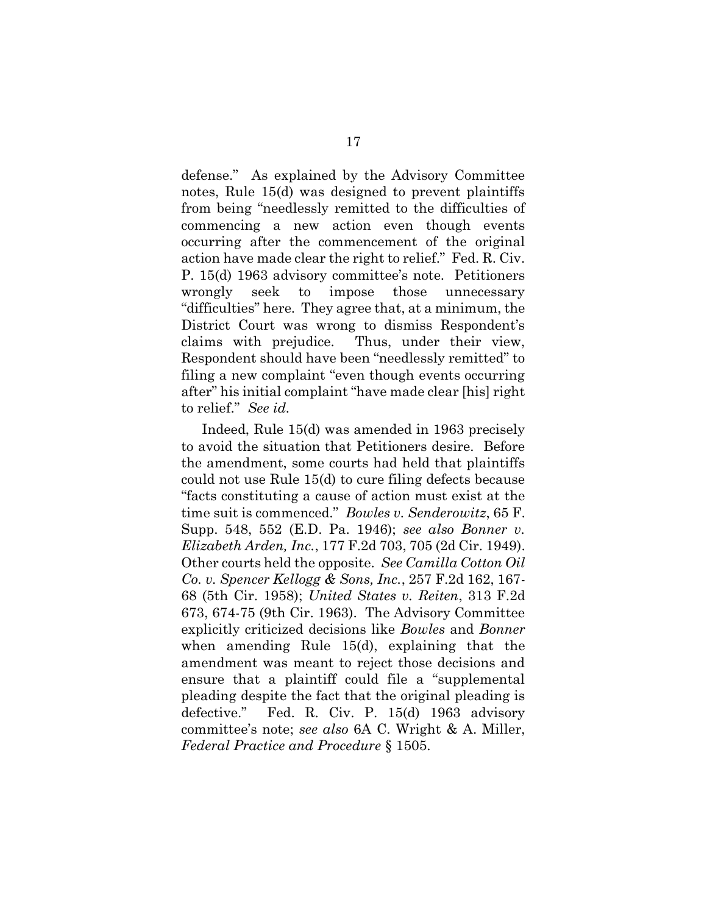defense." As explained by the Advisory Committee notes, Rule 15(d) was designed to prevent plaintiffs from being "needlessly remitted to the difficulties of commencing a new action even though events occurring after the commencement of the original action have made clear the right to relief." Fed. R. Civ. P. 15(d) 1963 advisory committee's note. Petitioners wrongly seek to impose those unnecessary "difficulties" here. They agree that, at a minimum, the District Court was wrong to dismiss Respondent's claims with prejudice. Thus, under their view, Respondent should have been "needlessly remitted" to filing a new complaint "even though events occurring after" his initial complaint "have made clear [his] right to relief." See id.

Indeed, Rule 15(d) was amended in 1963 precisely to avoid the situation that Petitioners desire. Before the amendment, some courts had held that plaintiffs could not use Rule 15(d) to cure filing defects because "facts constituting a cause of action must exist at the time suit is commenced." Bowles v. Senderowitz, 65 F. Supp. 548, 552 (E.D. Pa. 1946); see also Bonner v. Elizabeth Arden, Inc., 177 F.2d 703, 705 (2d Cir. 1949). Other courts held the opposite. See Camilla Cotton Oil Co. v. Spencer Kellogg & Sons, Inc., 257 F.2d 162, 167- 68 (5th Cir. 1958); United States v. Reiten, 313 F.2d 673, 674-75 (9th Cir. 1963). The Advisory Committee explicitly criticized decisions like Bowles and Bonner when amending Rule 15(d), explaining that the amendment was meant to reject those decisions and ensure that a plaintiff could file a "supplemental pleading despite the fact that the original pleading is defective." Fed. R. Civ. P. 15(d) 1963 advisory committee's note; see also 6A C. Wright & A. Miller, Federal Practice and Procedure § 1505.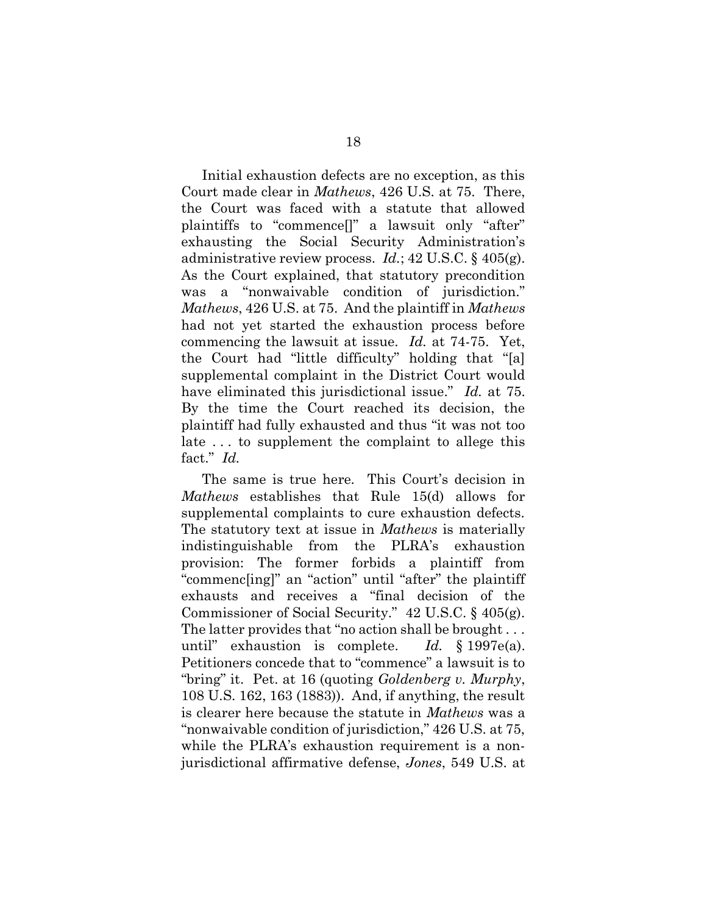Initial exhaustion defects are no exception, as this Court made clear in Mathews, 426 U.S. at 75. There, the Court was faced with a statute that allowed plaintiffs to "commence[]" a lawsuit only "after" exhausting the Social Security Administration's administrative review process.  $Id$ ; 42 U.S.C. § 405(g). As the Court explained, that statutory precondition was a "nonwaivable condition of jurisdiction." Mathews, 426 U.S. at 75. And the plaintiff in *Mathews* had not yet started the exhaustion process before commencing the lawsuit at issue. Id. at 74-75. Yet, the Court had "little difficulty" holding that "[a] supplemental complaint in the District Court would have eliminated this jurisdictional issue." Id. at 75. By the time the Court reached its decision, the plaintiff had fully exhausted and thus "it was not too late . . . to supplement the complaint to allege this fact." Id.

The same is true here. This Court's decision in Mathews establishes that Rule 15(d) allows for supplemental complaints to cure exhaustion defects. The statutory text at issue in *Mathews* is materially indistinguishable from the PLRA's exhaustion provision: The former forbids a plaintiff from "commenc[ing]" an "action" until "after" the plaintiff exhausts and receives a "final decision of the Commissioner of Social Security." 42 U.S.C. § 405(g). The latter provides that "no action shall be brought . . . until" exhaustion is complete. Id.  $§ 1997e(a)$ . Petitioners concede that to "commence" a lawsuit is to "bring" it. Pet. at 16 (quoting Goldenberg v. Murphy, 108 U.S. 162, 163 (1883)). And, if anything, the result is clearer here because the statute in *Mathews* was a "nonwaivable condition of jurisdiction," 426 U.S. at 75, while the PLRA's exhaustion requirement is a nonjurisdictional affirmative defense, Jones, 549 U.S. at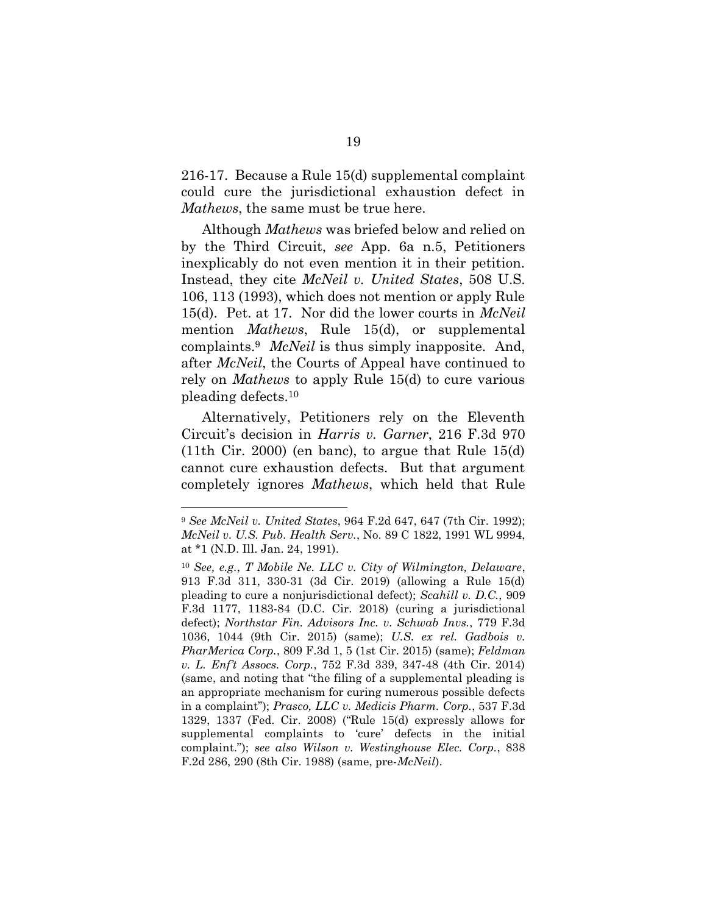216-17. Because a Rule 15(d) supplemental complaint could cure the jurisdictional exhaustion defect in Mathews, the same must be true here.

Although Mathews was briefed below and relied on by the Third Circuit, see App. 6a n.5, Petitioners inexplicably do not even mention it in their petition. Instead, they cite *McNeil v. United States*, 508 U.S. 106, 113 (1993), which does not mention or apply Rule 15(d). Pet. at 17. Nor did the lower courts in *McNeil* mention *Mathews*, Rule 15(d), or supplemental complaints.<sup>9</sup> *McNeil* is thus simply inapposite. And, after McNeil, the Courts of Appeal have continued to rely on Mathews to apply Rule 15(d) to cure various pleading defects.<sup>10</sup>

Alternatively, Petitioners rely on the Eleventh Circuit's decision in Harris v. Garner, 216 F.3d 970  $(11th$  Cir. 2000) (en banc), to argue that Rule 15(d) cannot cure exhaustion defects. But that argument completely ignores Mathews, which held that Rule

<sup>9</sup> See McNeil v. United States, 964 F.2d 647, 647 (7th Cir. 1992); McNeil v. U.S. Pub. Health Serv., No. 89 C 1822, 1991 WL 9994, at \*1 (N.D. Ill. Jan. 24, 1991).

<sup>10</sup> See, e.g., T Mobile Ne. LLC v. City of Wilmington, Delaware, 913 F.3d 311, 330-31 (3d Cir. 2019) (allowing a Rule 15(d) pleading to cure a nonjurisdictional defect); Scahill v. D.C., 909 F.3d 1177, 1183-84 (D.C. Cir. 2018) (curing a jurisdictional defect); Northstar Fin. Advisors Inc. v. Schwab Invs., 779 F.3d 1036, 1044 (9th Cir. 2015) (same); U.S. ex rel. Gadbois v. PharMerica Corp., 809 F.3d 1, 5 (1st Cir. 2015) (same); Feldman v. L. Enf't Assocs. Corp., 752 F.3d 339, 347-48 (4th Cir. 2014) (same, and noting that "the filing of a supplemental pleading is an appropriate mechanism for curing numerous possible defects in a complaint"); Prasco, LLC v. Medicis Pharm. Corp., 537 F.3d 1329, 1337 (Fed. Cir. 2008) ("Rule 15(d) expressly allows for supplemental complaints to 'cure' defects in the initial complaint."); see also Wilson v. Westinghouse Elec. Corp., 838 F.2d 286, 290 (8th Cir. 1988) (same, pre-McNeil).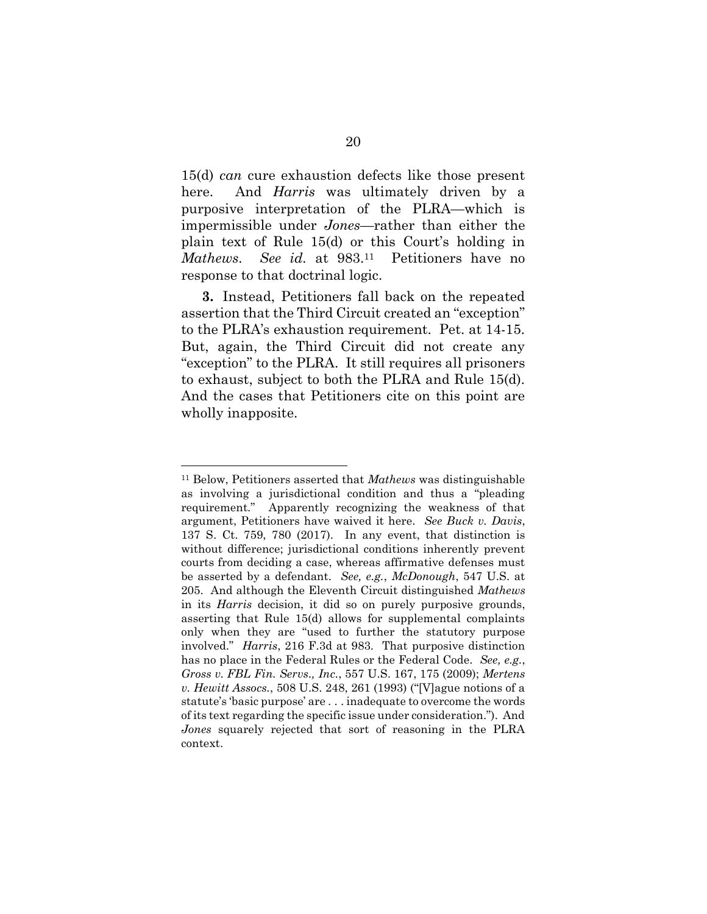15(d) can cure exhaustion defects like those present here. And *Harris* was ultimately driven by a purposive interpretation of the PLRA—which is impermissible under Jones—rather than either the plain text of Rule 15(d) or this Court's holding in Mathews. See id. at 983.<sup>11</sup> Petitioners have no response to that doctrinal logic.

3. Instead, Petitioners fall back on the repeated assertion that the Third Circuit created an "exception" to the PLRA's exhaustion requirement. Pet. at 14-15. But, again, the Third Circuit did not create any "exception" to the PLRA. It still requires all prisoners to exhaust, subject to both the PLRA and Rule 15(d). And the cases that Petitioners cite on this point are wholly inapposite.

<sup>&</sup>lt;sup>11</sup> Below, Petitioners asserted that *Mathews* was distinguishable as involving a jurisdictional condition and thus a "pleading requirement." Apparently recognizing the weakness of that argument, Petitioners have waived it here. See Buck v. Davis, 137 S. Ct. 759, 780 (2017). In any event, that distinction is without difference; jurisdictional conditions inherently prevent courts from deciding a case, whereas affirmative defenses must be asserted by a defendant. See, e.g., McDonough, 547 U.S. at 205. And although the Eleventh Circuit distinguished Mathews in its Harris decision, it did so on purely purposive grounds, asserting that Rule 15(d) allows for supplemental complaints only when they are "used to further the statutory purpose involved." Harris, 216 F.3d at 983. That purposive distinction has no place in the Federal Rules or the Federal Code. See, e.g., Gross v. FBL Fin. Servs., Inc., 557 U.S. 167, 175 (2009); Mertens v. Hewitt Assocs., 508 U.S. 248, 261 (1993) ("[V]ague notions of a statute's 'basic purpose' are . . . inadequate to overcome the words of its text regarding the specific issue under consideration."). And Jones squarely rejected that sort of reasoning in the PLRA context.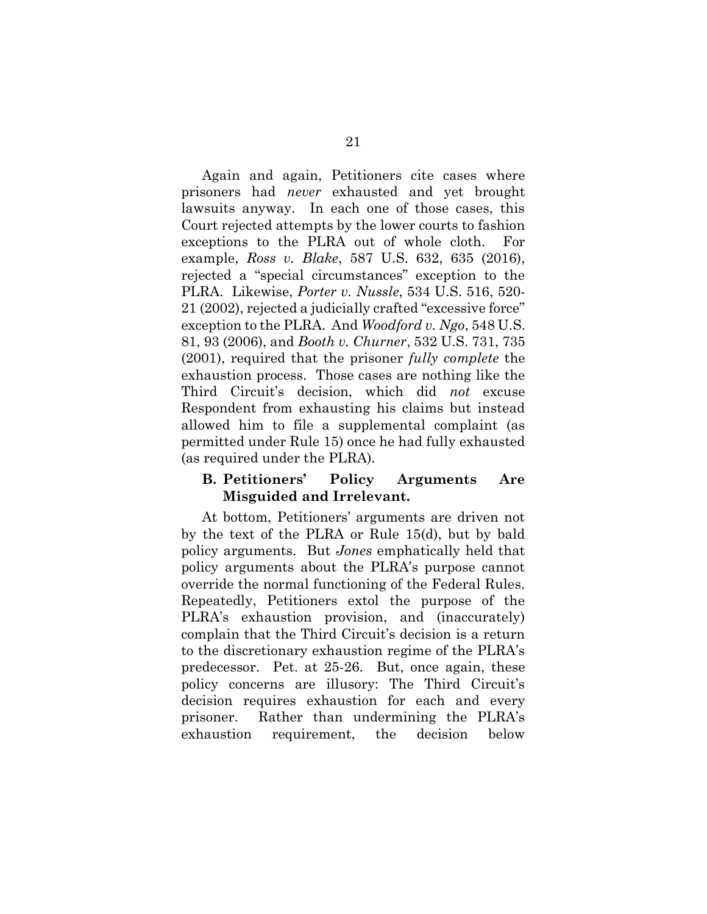Again and again, Petitioners cite cases where prisoners had never exhausted and yet brought lawsuits anyway. In each one of those cases, this Court rejected attempts by the lower courts to fashion exceptions to the PLRA out of whole cloth. For example, Ross v. Blake, 587 U.S. 632, 635 (2016), rejected a "special circumstances" exception to the PLRA. Likewise, Porter v. Nussle, 534 U.S. 516, 520- 21 (2002), rejected a judicially crafted "excessive force" exception to the PLRA. And *Woodford v. Ngo*, 548 U.S. 81, 93 (2006), and Booth v. Churner, 532 U.S. 731, 735 (2001), required that the prisoner fully complete the exhaustion process. Those cases are nothing like the Third Circuit's decision, which did not excuse Respondent from exhausting his claims but instead allowed him to file a supplemental complaint (as permitted under Rule 15) once he had fully exhausted (as required under the PLRA).

#### B. Petitioners' Policy Arguments Are Misguided and Irrelevant.

At bottom, Petitioners' arguments are driven not by the text of the PLRA or Rule 15(d), but by bald policy arguments. But Jones emphatically held that policy arguments about the PLRA's purpose cannot override the normal functioning of the Federal Rules. Repeatedly, Petitioners extol the purpose of the PLRA's exhaustion provision, and (inaccurately) complain that the Third Circuit's decision is a return to the discretionary exhaustion regime of the PLRA's predecessor. Pet. at 25-26. But, once again, these policy concerns are illusory: The Third Circuit's decision requires exhaustion for each and every prisoner. Rather than undermining the PLRA's exhaustion requirement, the decision below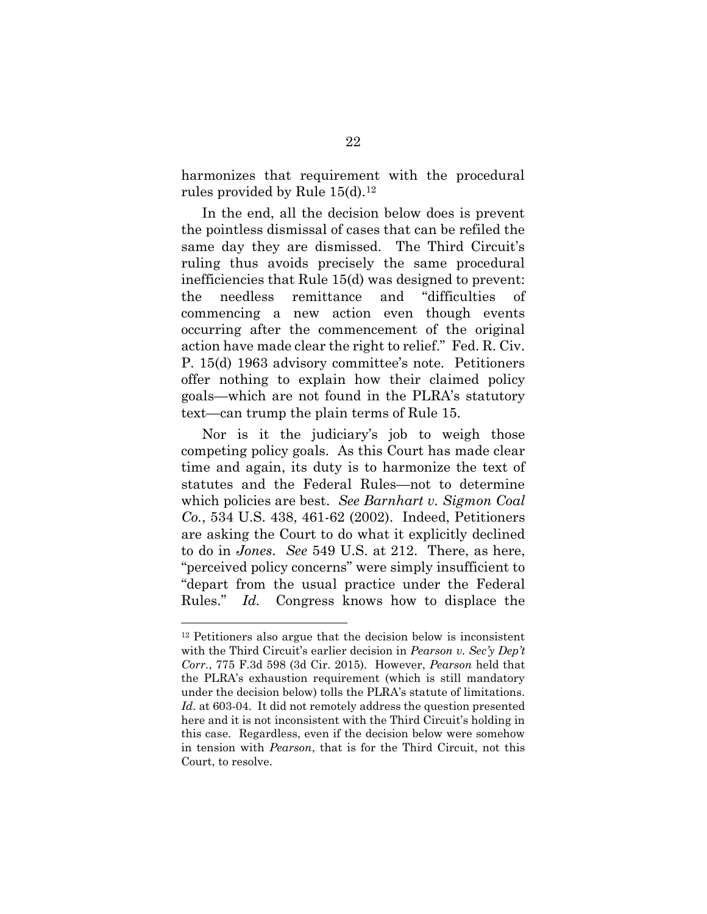harmonizes that requirement with the procedural rules provided by Rule  $15(d).^{12}$ 

In the end, all the decision below does is prevent the pointless dismissal of cases that can be refiled the same day they are dismissed. The Third Circuit's ruling thus avoids precisely the same procedural inefficiencies that Rule 15(d) was designed to prevent: the needless remittance and "difficulties of commencing a new action even though events occurring after the commencement of the original action have made clear the right to relief." Fed. R. Civ. P. 15(d) 1963 advisory committee's note. Petitioners offer nothing to explain how their claimed policy goals—which are not found in the PLRA's statutory text—can trump the plain terms of Rule 15.

Nor is it the judiciary's job to weigh those competing policy goals. As this Court has made clear time and again, its duty is to harmonize the text of statutes and the Federal Rules—not to determine which policies are best. See Barnhart v. Sigmon Coal Co., 534 U.S. 438, 461-62 (2002). Indeed, Petitioners are asking the Court to do what it explicitly declined to do in Jones. See 549 U.S. at 212. There, as here, "perceived policy concerns" were simply insufficient to "depart from the usual practice under the Federal Rules." Id. Congress knows how to displace the

<sup>12</sup> Petitioners also argue that the decision below is inconsistent with the Third Circuit's earlier decision in Pearson v. Sec'y Dep't Corr., 775 F.3d 598 (3d Cir. 2015). However, Pearson held that the PLRA's exhaustion requirement (which is still mandatory under the decision below) tolls the PLRA's statute of limitations. Id. at 603-04. It did not remotely address the question presented here and it is not inconsistent with the Third Circuit's holding in this case. Regardless, even if the decision below were somehow in tension with Pearson, that is for the Third Circuit, not this Court, to resolve.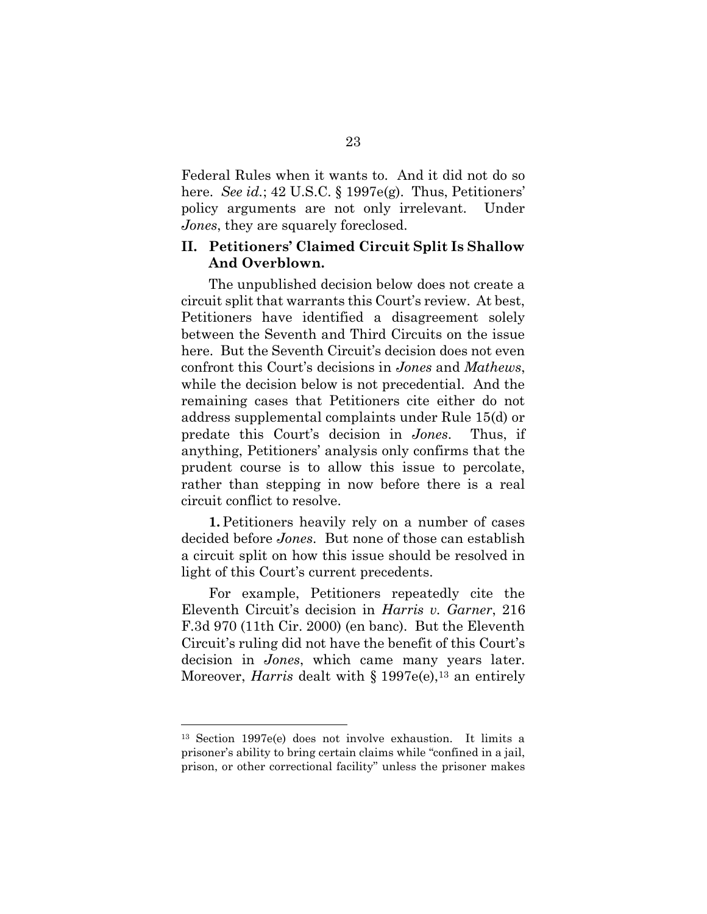Federal Rules when it wants to. And it did not do so here. See id.; 42 U.S.C. § 1997e(g). Thus, Petitioners' policy arguments are not only irrelevant. Under Jones, they are squarely foreclosed.

### II. Petitioners' Claimed Circuit Split Is Shallow And Overblown.

The unpublished decision below does not create a circuit split that warrants this Court's review. At best, Petitioners have identified a disagreement solely between the Seventh and Third Circuits on the issue here. But the Seventh Circuit's decision does not even confront this Court's decisions in Jones and Mathews, while the decision below is not precedential. And the remaining cases that Petitioners cite either do not address supplemental complaints under Rule 15(d) or predate this Court's decision in Jones. Thus, if anything, Petitioners' analysis only confirms that the prudent course is to allow this issue to percolate, rather than stepping in now before there is a real circuit conflict to resolve.

1. Petitioners heavily rely on a number of cases decided before Jones. But none of those can establish a circuit split on how this issue should be resolved in light of this Court's current precedents.

For example, Petitioners repeatedly cite the Eleventh Circuit's decision in Harris v. Garner, 216 F.3d 970 (11th Cir. 2000) (en banc). But the Eleventh Circuit's ruling did not have the benefit of this Court's decision in Jones, which came many years later. Moreover, *Harris* dealt with  $\S 1997e(e)$ ,<sup>13</sup> an entirely

<sup>13</sup> Section 1997e(e) does not involve exhaustion. It limits a prisoner's ability to bring certain claims while "confined in a jail, prison, or other correctional facility" unless the prisoner makes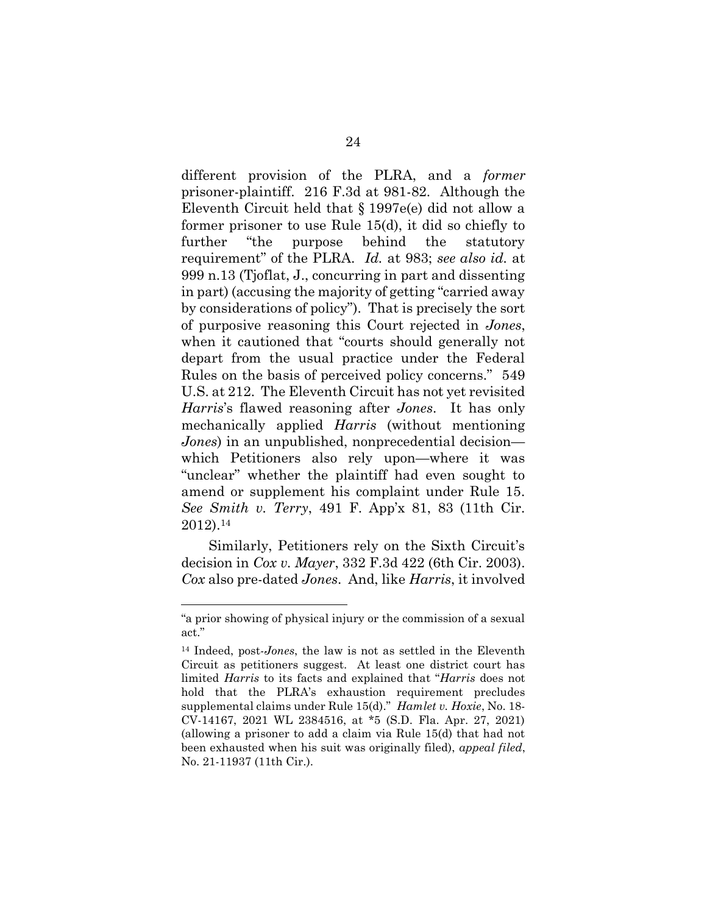different provision of the PLRA, and a former prisoner-plaintiff. 216 F.3d at 981-82. Although the Eleventh Circuit held that § 1997e(e) did not allow a former prisoner to use Rule 15(d), it did so chiefly to further "the purpose behind the statutory requirement" of the PLRA. Id. at 983; see also id. at 999 n.13 (Tjoflat, J., concurring in part and dissenting in part) (accusing the majority of getting "carried away by considerations of policy"). That is precisely the sort of purposive reasoning this Court rejected in Jones, when it cautioned that "courts should generally not depart from the usual practice under the Federal Rules on the basis of perceived policy concerns." 549 U.S. at 212. The Eleventh Circuit has not yet revisited Harris's flawed reasoning after Jones. It has only mechanically applied Harris (without mentioning Jones) in an unpublished, nonprecedential decision which Petitioners also rely upon—where it was "unclear" whether the plaintiff had even sought to amend or supplement his complaint under Rule 15. See Smith v. Terry, 491 F. App'x 81, 83 (11th Cir. 2012).<sup>14</sup>

Similarly, Petitioners rely on the Sixth Circuit's decision in Cox v. Mayer, 332 F.3d 422 (6th Cir. 2003). Cox also pre-dated Jones. And, like Harris, it involved

<sup>&</sup>quot;a prior showing of physical injury or the commission of a sexual act."

<sup>&</sup>lt;sup>14</sup> Indeed, post-*Jones*, the law is not as settled in the Eleventh Circuit as petitioners suggest. At least one district court has limited Harris to its facts and explained that "Harris does not hold that the PLRA's exhaustion requirement precludes supplemental claims under Rule 15(d)." Hamlet v. Hoxie, No. 18-CV-14167, 2021 WL 2384516, at \*5 (S.D. Fla. Apr. 27, 2021) (allowing a prisoner to add a claim via Rule 15(d) that had not been exhausted when his suit was originally filed), appeal filed, No. 21-11937 (11th Cir.).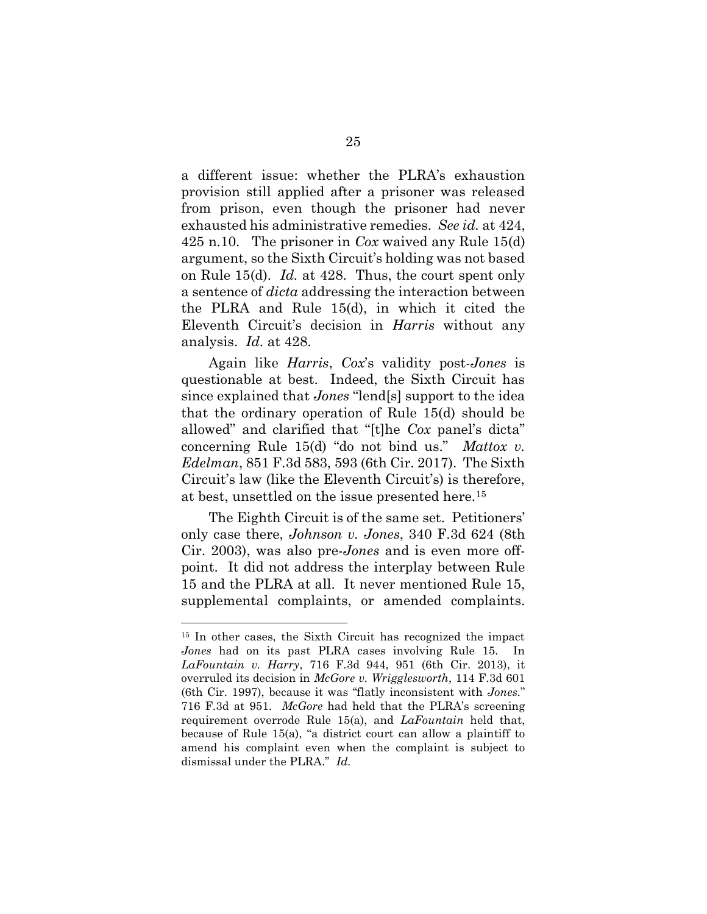a different issue: whether the PLRA's exhaustion provision still applied after a prisoner was released from prison, even though the prisoner had never exhausted his administrative remedies. See id. at 424, 425 n.10. The prisoner in Cox waived any Rule 15(d) argument, so the Sixth Circuit's holding was not based on Rule 15(d). Id. at 428. Thus, the court spent only a sentence of dicta addressing the interaction between the PLRA and Rule 15(d), in which it cited the Eleventh Circuit's decision in Harris without any analysis. Id. at 428.

Again like Harris, Cox's validity post-Jones is questionable at best. Indeed, the Sixth Circuit has since explained that *Jones* "lend[s] support to the idea that the ordinary operation of Rule 15(d) should be allowed" and clarified that "[t]he Cox panel's dicta" concerning Rule 15(d) "do not bind us." Mattox  $v$ . Edelman, 851 F.3d 583, 593 (6th Cir. 2017). The Sixth Circuit's law (like the Eleventh Circuit's) is therefore, at best, unsettled on the issue presented here.<sup>15</sup>

The Eighth Circuit is of the same set. Petitioners' only case there, Johnson v. Jones, 340 F.3d 624 (8th Cir. 2003), was also pre-Jones and is even more offpoint. It did not address the interplay between Rule 15 and the PLRA at all. It never mentioned Rule 15, supplemental complaints, or amended complaints.

<sup>15</sup> In other cases, the Sixth Circuit has recognized the impact Jones had on its past PLRA cases involving Rule 15. In LaFountain v. Harry, 716 F.3d 944, 951 (6th Cir. 2013), it overruled its decision in McGore v. Wrigglesworth, 114 F.3d 601 (6th Cir. 1997), because it was "flatly inconsistent with Jones." 716 F.3d at 951. McGore had held that the PLRA's screening requirement overrode Rule  $15(a)$ , and *LaFountain* held that, because of Rule 15(a), "a district court can allow a plaintiff to amend his complaint even when the complaint is subject to dismissal under the PLRA." Id.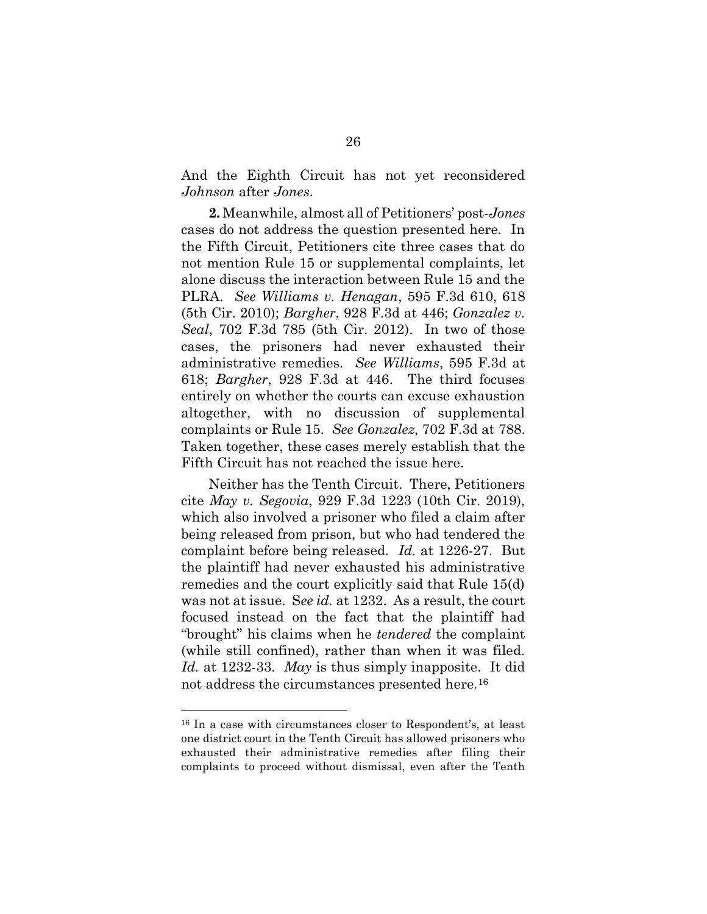And the Eighth Circuit has not yet reconsidered Johnson after Jones.

2. Meanwhile, almost all of Petitioners' post-Jones cases do not address the question presented here. In the Fifth Circuit, Petitioners cite three cases that do not mention Rule 15 or supplemental complaints, let alone discuss the interaction between Rule 15 and the PLRA. See Williams v. Henagan, 595 F.3d 610, 618 (5th Cir. 2010); Bargher, 928 F.3d at 446; Gonzalez v. Seal, 702 F.3d 785 (5th Cir. 2012). In two of those cases, the prisoners had never exhausted their administrative remedies. See Williams, 595 F.3d at 618; Bargher, 928 F.3d at 446. The third focuses entirely on whether the courts can excuse exhaustion altogether, with no discussion of supplemental complaints or Rule 15. See Gonzalez, 702 F.3d at 788. Taken together, these cases merely establish that the Fifth Circuit has not reached the issue here.

Neither has the Tenth Circuit. There, Petitioners cite May v. Segovia, 929 F.3d 1223 (10th Cir. 2019), which also involved a prisoner who filed a claim after being released from prison, but who had tendered the complaint before being released. Id. at 1226-27. But the plaintiff had never exhausted his administrative remedies and the court explicitly said that Rule 15(d) was not at issue. See id. at 1232. As a result, the court focused instead on the fact that the plaintiff had "brought" his claims when he tendered the complaint (while still confined), rather than when it was filed. Id. at 1232-33. May is thus simply inapposite. It did not address the circumstances presented here.<sup>16</sup>

<sup>16</sup> In a case with circumstances closer to Respondent's, at least one district court in the Tenth Circuit has allowed prisoners who exhausted their administrative remedies after filing their complaints to proceed without dismissal, even after the Tenth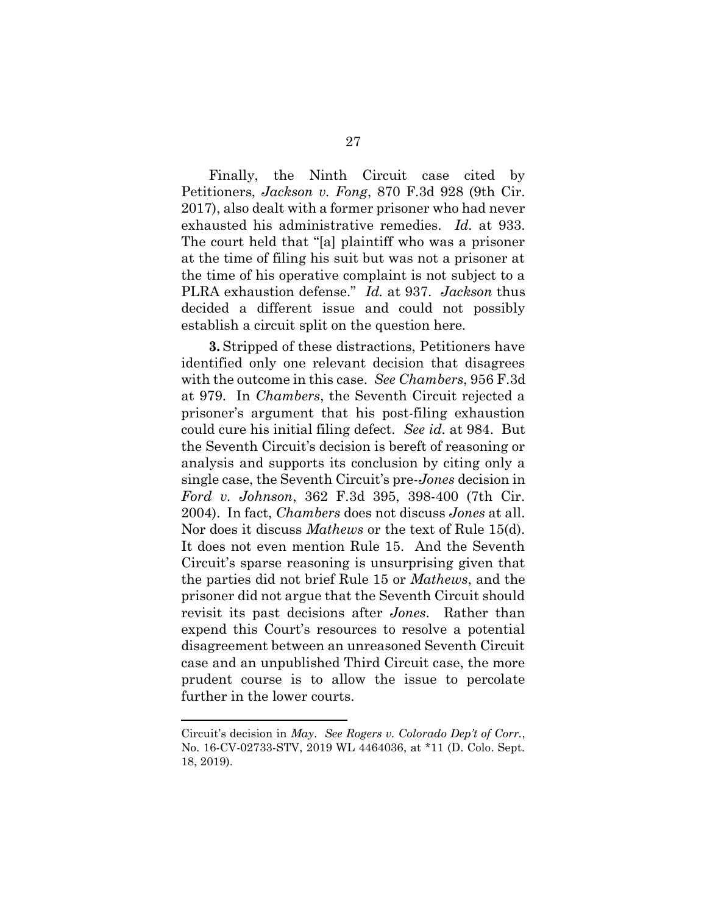Finally, the Ninth Circuit case cited by Petitioners, Jackson v. Fong, 870 F.3d 928 (9th Cir. 2017), also dealt with a former prisoner who had never exhausted his administrative remedies. Id. at 933. The court held that "[a] plaintiff who was a prisoner at the time of filing his suit but was not a prisoner at the time of his operative complaint is not subject to a PLRA exhaustion defense." Id. at 937. Jackson thus decided a different issue and could not possibly establish a circuit split on the question here.

3. Stripped of these distractions, Petitioners have identified only one relevant decision that disagrees with the outcome in this case. See Chambers, 956 F.3d at 979. In Chambers, the Seventh Circuit rejected a prisoner's argument that his post-filing exhaustion could cure his initial filing defect. See id. at 984. But the Seventh Circuit's decision is bereft of reasoning or analysis and supports its conclusion by citing only a single case, the Seventh Circuit's pre-Jones decision in Ford v. Johnson, 362 F.3d 395, 398-400 (7th Cir. 2004). In fact, Chambers does not discuss Jones at all. Nor does it discuss Mathews or the text of Rule 15(d). It does not even mention Rule 15. And the Seventh Circuit's sparse reasoning is unsurprising given that the parties did not brief Rule 15 or Mathews, and the prisoner did not argue that the Seventh Circuit should revisit its past decisions after *Jones*. Rather than expend this Court's resources to resolve a potential disagreement between an unreasoned Seventh Circuit case and an unpublished Third Circuit case, the more prudent course is to allow the issue to percolate further in the lower courts.

Circuit's decision in May. See Rogers v. Colorado Dep't of Corr., No. 16-CV-02733-STV, 2019 WL 4464036, at \*11 (D. Colo. Sept. 18, 2019).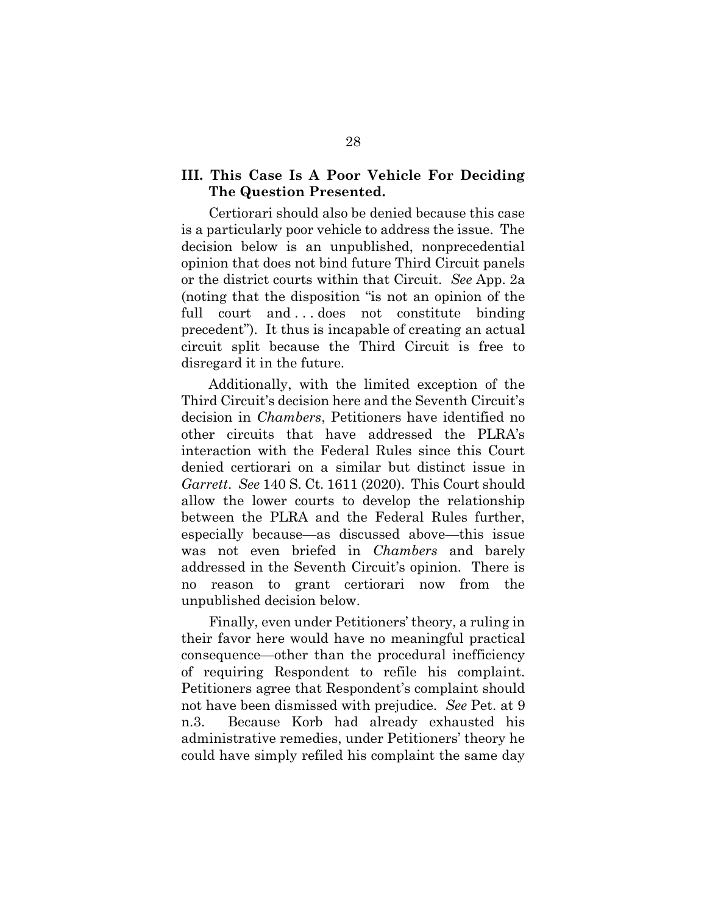## III. This Case Is A Poor Vehicle For Deciding The Question Presented.

Certiorari should also be denied because this case is a particularly poor vehicle to address the issue. The decision below is an unpublished, nonprecedential opinion that does not bind future Third Circuit panels or the district courts within that Circuit. See App. 2a (noting that the disposition "is not an opinion of the full court and ... does not constitute binding precedent"). It thus is incapable of creating an actual circuit split because the Third Circuit is free to disregard it in the future.

Additionally, with the limited exception of the Third Circuit's decision here and the Seventh Circuit's decision in Chambers, Petitioners have identified no other circuits that have addressed the PLRA's interaction with the Federal Rules since this Court denied certiorari on a similar but distinct issue in Garrett. See 140 S. Ct. 1611 (2020). This Court should allow the lower courts to develop the relationship between the PLRA and the Federal Rules further, especially because—as discussed above—this issue was not even briefed in *Chambers* and barely addressed in the Seventh Circuit's opinion. There is no reason to grant certiorari now from the unpublished decision below.

Finally, even under Petitioners' theory, a ruling in their favor here would have no meaningful practical consequence—other than the procedural inefficiency of requiring Respondent to refile his complaint. Petitioners agree that Respondent's complaint should not have been dismissed with prejudice. See Pet. at 9 n.3. Because Korb had already exhausted his administrative remedies, under Petitioners' theory he could have simply refiled his complaint the same day